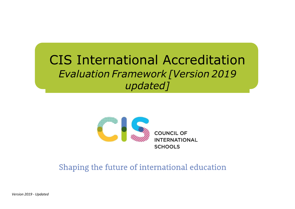# CIS International Accreditation *Evaluation Framework [Version 2019 updated]*



Shaping the future of international education

*Version 2019 - Updated*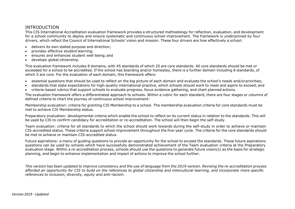#### INTRODUCTION

This CIS International Accreditation evaluation framework provides a structured methodology for reflection, evaluation, and development for a school community to deploy and ensure systematic and continuous school improvement. The framework is underpinned by four drivers, which reflect the Council of International Schools' vision and mission. These four drivers are how effectively a school:

- delivers its own stated purpose and direction;
- provides effective student learning;
- ensures and enhances student well-being;and
- develops global citizenship.

This evaluation framework includes 8 domains, with 45 standards of which 25 are core standards. All core standards should be met or exceeded for a school to be accredited. If the school has boarding and/or homestay, there is a further domain including 8 standards, of which 5 are core. For the evaluation of each domain, this framework offers:

- essential questions that should be used to reflect on the big picture of each domain and evaluate the school's needs and/orpriorities;
- standards that state expectations for high-quality international practice, which schools should work to meet and aspire to exceed; and
- criteria-based rubrics that support schools to evaluate progress, focus evidence gathering, and chart planned actions.

The evaluation framework offers a differentiated approach to schools. Within a rubric for each standard, there are four stages or columns of defined criteria to chart the journey of continuous school improvement:

Membership evaluation: criteria for granting CIS Membership to a school. The membership evaluation criteria for core standards must be met to achieve CIS Membership status.

Preparatory evaluation: developmental criteria which enable the school to reflect on its current status in relation to the standards. This will be used by CIS to confirm candidacy for accreditation or re-accreditation. The school will then begin the self-study.

Team evaluation: criteria for all standards to which the school should work towards during the self-study in order to achieve or maintain CIS-accredited status. These criteria support school improvement throughout the five-year cycle. The criteria for the core standards should be met to achieve or maintain CIS-accredited status.

Future aspirations: a menu of guiding questions to provide an opportunity for the school to exceed the standards. These future aspirations questions can be used by schools which have successfully demonstrated achievement of the Team evaluation criteria at the Preparatory evaluation stage. Within a re-accreditation process, schools should use the questions to generate future vision(s) as the basis for strategic planning, and begin to enhance implementation and impact of actions to improve the school further.

This version has been updated to improve consistency and the use of language from the 2019 version. Revising the re-accreditation process *afforded an opportunity for CIS to build on the references to global citizenship and intercultural learning, and incorporate more specific references to inclusion, diversity, equity and anti-racism.*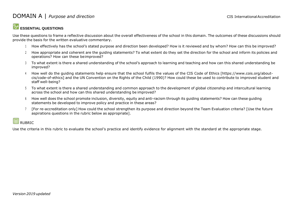#### **ESSENTIAL QUESTIONS**

Use these questions to frame a reflective discussion about the overall effectiveness of the school in this domain. The outcomes of these discussions should provide the basis for the written evaluative commentary.

- <sup>1</sup> How effectively has the school's stated purpose and direction been developed? How is it reviewed and by whom? How can this be improved?
- 2 How appropriate and coherent are the guiding statements? To what extent do they set the direction for the school and inform its policies and operations? How can these beimproved?
- <sup>3</sup> To what extent is there a shared understanding of the school's approach to learning and teaching and how can this shared understanding be improved?
- <sup>4</sup> How well do the guiding statements help ensure that the school fulfils the values of the CIS Code of Ethics [https:/[/www.cois.org/about](http://www.cois.org/about-)cis/code-of-ethics] and the UN Convention on the Rights of the Child (1990)? How could these be used to contribute to improved student and staff well-being?
- <sup>5</sup> To what extent is there a shared understanding and common approach to the development of global citizenship and intercultural learning across the school and how can this shared understanding be improved?
- <sup>6</sup> How well does the school promote inclusion, diversity, equity and anti-racism through its guiding statements? How can these guiding statements be developed to improve policy and practice in these areas?
- <sup>7</sup> [For re-accreditation only] How could the school strengthen its purpose and direction beyond the Team Evaluation criteria? [Use the future aspirations questions in the rubric below as appropriate].

## **RUBRIC**

Use the criteria in this rubric to evaluate the school's practice and identify evidence for alignment with the standard at the appropriate stage.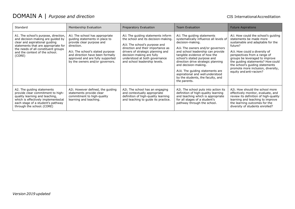| Standard                                                                                                                                                                                                                              | Membership Evaluation                                                                                                                                                                                                                                        | Preparatory Evaluation                                                                                                                                                                                                                                                               | <b>Team Evaluation</b>                                                                                                                                                                                                                                                                                                                                                                                                         | <b>Future Aspirations</b>                                                                                                                                                                                                                                                                                                                                   |
|---------------------------------------------------------------------------------------------------------------------------------------------------------------------------------------------------------------------------------------|--------------------------------------------------------------------------------------------------------------------------------------------------------------------------------------------------------------------------------------------------------------|--------------------------------------------------------------------------------------------------------------------------------------------------------------------------------------------------------------------------------------------------------------------------------------|--------------------------------------------------------------------------------------------------------------------------------------------------------------------------------------------------------------------------------------------------------------------------------------------------------------------------------------------------------------------------------------------------------------------------------|-------------------------------------------------------------------------------------------------------------------------------------------------------------------------------------------------------------------------------------------------------------------------------------------------------------------------------------------------------------|
| A1. The school's purpose, direction,<br>and decision-making are guided by<br>clear and aspirational guiding<br>statements that are appropriate for<br>the needs of all constituent groups<br>and the context of the school.<br>(CORE) | Ali. The school has appropriate<br>guiding statements in place to<br>provide clear purpose and<br>direction.<br>Alii. The school's stated purpose<br>and direction have been formally<br>approved and are fully supported<br>by the owners and/or governors. | Ali. The quiding statements inform<br>the school and its decision-making.<br>Alii. The school's purpose and<br>direction and their importance as<br>drivers of strategic planning and<br>decision-making are fully<br>understood at both governance<br>and school leadership levels. | Ali. The quiding statements<br>systematically influence all levels of<br>decision-making.<br>Alii. The owners and/or governors<br>and school leadership can provide<br>tangible evidence of how the<br>school's stated purpose and<br>direction drive strategic planning<br>and decision-making.<br>Aliii. The quiding statements are<br>aspirational and well understood<br>by the students, the faculty, and<br>the parents. | Ali. How could the school's quiding<br>statements be made more<br>sustainable and adaptable for the<br>future?<br>Alii. How could a diversity of<br>perspectives from a range of<br>groups be leveraged to improve<br>the quiding statements? How could<br>the school's quiding statements<br>promote more inclusion, diversity,<br>equity and anti-racism? |
| A2. The guiding statements<br>provide clear commitment to high-<br>quality learning and teaching,<br>which is effectively implemented at<br>each stage of a student's pathway<br>through the school. (CORE)                           | A2i. However defined, the guiding<br>statements provide clear<br>commitment to high-quality<br>learning and teaching.                                                                                                                                        | A2i. The school has an engaging<br>and contextually appropriate<br>definition of high-quality learning<br>and teaching to guide its practice.                                                                                                                                        | A2i. The school puts into action its<br>definition of high-quality learning<br>and teaching which is appropriate<br>for all stages of a student's<br>pathway through the school.                                                                                                                                                                                                                                               | A2i. How should the school more<br>effectively monitor, evaluate, and<br>review its definition of high-quality<br>learning and teaching to improve<br>the learning outcomes for the<br>diversity of students enrolled?                                                                                                                                      |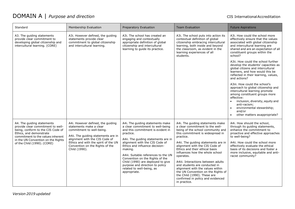| Standard                                                                                                                                                                                                                                  | Membership Evaluation                                                                                                                                                                                                                                          | Preparatory Evaluation                                                                                                                                                                                                                                                                                                                                                                                                                       | <b>Team Evaluation</b>                                                                                                                                                                                                                                                                                                                                                                                                                                                                                                                                    | <b>Future Aspirations</b>                                                                                                                                                                                                                                                                                                                                                                                                                                                                                                                                                                                                                                                                                                                                   |
|-------------------------------------------------------------------------------------------------------------------------------------------------------------------------------------------------------------------------------------------|----------------------------------------------------------------------------------------------------------------------------------------------------------------------------------------------------------------------------------------------------------------|----------------------------------------------------------------------------------------------------------------------------------------------------------------------------------------------------------------------------------------------------------------------------------------------------------------------------------------------------------------------------------------------------------------------------------------------|-----------------------------------------------------------------------------------------------------------------------------------------------------------------------------------------------------------------------------------------------------------------------------------------------------------------------------------------------------------------------------------------------------------------------------------------------------------------------------------------------------------------------------------------------------------|-------------------------------------------------------------------------------------------------------------------------------------------------------------------------------------------------------------------------------------------------------------------------------------------------------------------------------------------------------------------------------------------------------------------------------------------------------------------------------------------------------------------------------------------------------------------------------------------------------------------------------------------------------------------------------------------------------------------------------------------------------------|
| A3. The guiding statements<br>provide clear commitment to<br>developing global citizenship and<br>intercultural learning. (CORE)                                                                                                          | A3i. However defined, the guiding<br>statements provide clear<br>commitment to global citizenship<br>and intercultural learning.                                                                                                                               | A3i. The school has created an<br>engaging and contextually<br>appropriate definition of global<br>citizenship and intercultural<br>learning to guide its practice.                                                                                                                                                                                                                                                                          | A3i. The school puts into action its<br>contextual definition of global<br>citizenship embracing intercultural<br>learning, both inside and beyond<br>the classroom, as evident in the<br>learning experiences of all<br>students.                                                                                                                                                                                                                                                                                                                        | A3i. How could the school more<br>effectively ensure that the values<br>associated with global citizenship<br>and intercultural learning are<br>shared and are an expectation of all<br>constituent groups within the<br>school?<br>A3ii. How could the school further<br>develop the students' capacities as<br>global citizens and intercultural<br>learners, and how would this be<br>reflected in their learning, values,<br>and actions?<br>A3iii. How could the school's<br>approach to global citizenship and<br>intercultural learning promote<br>among constituent groups more<br>effective:<br>inclusion, diversity, equity and<br>$\bullet$<br>anti-racism;<br>environmental stewardship;<br>$\bullet$<br>and/or<br>other matters asappropriate? |
| A4. The guiding statements<br>provide clear commitment to well-<br>being, conform to the CIS Code of<br>Ethics, and demonstrate<br>commitment to the values inherent<br>in the UN Convention on the Rights<br>of the Child (1990). (CORE) | A4i. However defined, the guiding<br>statements make a clear<br>commitment to well-being.<br>A4ii. The guiding statements are in<br>alignment with the CIS Code of<br>Ethics and with the spirit of the UN<br>Convention on the Rights of the<br>Child (1990). | A4i. The guiding statements make<br>a clear commitment to well-being<br>and this commitment is evident in<br>practice.<br>A4ii. The guiding statements are in<br>alignment with the CIS Code of<br>Ethics and influence decision-<br>making.<br>A4iii. Suitable references to the UN<br>Convention on the Rights of the<br>Child (1990) are deployed to give<br>purpose and direction to policy<br>related to well-being, as<br>appropriate. | A4i. The guiding statements make<br>a clear commitment to the well-<br>being of the school community and<br>this commitment is widespread in<br>practice.<br>A4ii. The guiding statements are in<br>alignment with the CIS Code of<br>Ethics and their ethical basis<br>influences how the whole school<br>operates.<br>A4iii. Interactions between adults<br>and students are conducted in<br>alignment with the values within<br>the UN Convention on the Rights of<br>the Child (1990). These are<br>confirmed in policy and evidenced<br>in practice. | A4i. How should the school,<br>through its guiding statements,<br>enhance the commitment to<br>proactive and effective approaches<br>to well-being?<br>A4ii. How could the school more<br>effectively evaluate the ethical<br>basis of its decisions and foster a<br>more inclusive, equitable and anti-<br>racist community?                                                                                                                                                                                                                                                                                                                                                                                                                               |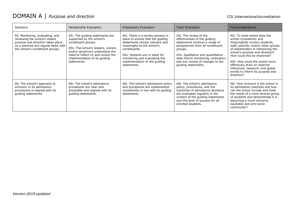| Standard                                                                                                                                                                         | Membership Evaluation                                                                                                                                                                                                                             | Preparatory Evaluation                                                                                                                                                                                                                                                    | <b>Team Evaluation</b>                                                                                                                                                                                                                                                           | <b>Future Aspirations</b>                                                                                                                                                                                                                                                                                                                                                                         |
|----------------------------------------------------------------------------------------------------------------------------------------------------------------------------------|---------------------------------------------------------------------------------------------------------------------------------------------------------------------------------------------------------------------------------------------------|---------------------------------------------------------------------------------------------------------------------------------------------------------------------------------------------------------------------------------------------------------------------------|----------------------------------------------------------------------------------------------------------------------------------------------------------------------------------------------------------------------------------------------------------------------------------|---------------------------------------------------------------------------------------------------------------------------------------------------------------------------------------------------------------------------------------------------------------------------------------------------------------------------------------------------------------------------------------------------|
| A5. Monitoring, evaluating, and<br>reviewing the school's stated<br>purpose and direction takes place<br>on a planned and regular basis with<br>the school's constituent groups. | A5i. The guiding statements are<br>supported by the school's<br>constituent groups.<br>A5ii. The school's leaders, owners<br>and/or governors understand the<br>need to reflect on and review the<br>implementation of its guiding<br>statements. | A5i. There is a review process in<br>place to ensure that the quiding<br>statements remain relevant and<br>meaningful to the school's<br>constituents.<br>A5ii. Systems are in place for<br>monitoring and evaluating the<br>implementation of the quiding<br>statements. | A5i. The review of the<br>effectiveness of the guiding<br>statements involves a range of<br>perspectives from all constituent<br>groups.<br>A5ii. Qualitative and quantitative<br>data inform monitoring, evaluation,<br>and any review of changes to the<br>quiding statements. | A5i. To what extent does the<br>school consistently and<br>meaningfully involve students,<br>staff, parents, and/or other groups<br>of stakeholders in influencing the<br>school's purpose and direction?<br>How could this be improved?<br>A5ii. How could the school more<br>effectively draw on external<br>influences, research, and global<br>trends to inform its purpose and<br>direction? |
| A6. The school's approach to<br>inclusion in its admissions<br>procedures is aligned with its<br>guiding statements.                                                             | A6i. The school's admissions<br>procedures are clear and<br>accessible and aligned with its<br>guiding statements.                                                                                                                                | A6i. The school's admissions policy<br>and procedures are implemented<br>consistently in line with its guiding<br>statements.                                                                                                                                             | A6i. The school's admissions<br>policy, procedures, and the<br>outcomes of admissions decisions<br>are evaluated regularly in the<br>context of the quiding statements<br>and the level of success for all<br>enrolled students.                                                 | A6i. How inclusive is the school in<br>its admissions practices and how<br>can the school include and meet<br>the needs of a more diverse group<br>of students and demonstrate it is<br>becoming a more inclusive,<br>equitable and anti-racist<br>community?                                                                                                                                     |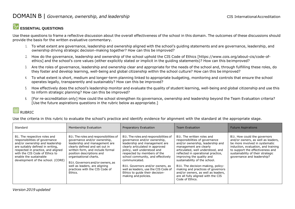#### **ESSENTIAL QUESTIONS**

Use these questions to frame a reflective discussion about the overall effectiveness of the school in this domain. The outcomes of these discussions should provide the basis for the written evaluative commentary.

- 1. To what extent are governance, leadership and ownership aligned with the school's guiding statements and are governance, leadership, and ownership driving strategic decision-making together? How can this be improved?
- 2. How do the governance, leadership and ownership of the school uphold the CIS Code of Ethics [https:/[/www.cois.org/about-cis/code-of](http://www.cois.org/about-cis/code-of-)ethics] and the school's core values (either explicitly stated or implicit in the guiding statements)? How can this beimproved?
- 3. Are the roles of governance, leadership and ownership clear and appropriate for the needs of the school and, through fulfilling these roles, do they foster and develop learning, well-being and global citizenship within the school culture? How can this be improved?
- 4. To what extent is short, medium and longer-term planning linked to appropriate budgeting, monitoring and controls that ensure the school operates legally, transparently and sustainably? How can this be improved?
- 5. How effectively does the school's leadership monitor and evaluate the quality of student learning, well-being and global citizenship and use this to inform strategic planning? How can this be improved?
- 6. [For re-accreditation only] How could the school strengthen its governance, ownership and leadership beyond the Team Evaluation criteria? [Use the future aspirations questions in the rubric below as appropriate.]

#### || RUBRIC

Use the criteria in this rubric to evaluate the school's practice and identify evidence for alignment with the standard at the appropriate stage.

| Standard                                                                                                                                                                                                                                                                     | Membership Evaluation                                                                                                                                                                                                                                                                                                                                   | Preparatory Evaluation                                                                                                                                                                                                                                                                                                                                                                                 | <b>Team Evaluation</b>                                                                                                                                                                                                                                                                                                                                                                                                                        | <b>Future Aspirations</b>                                                                                                                                                                                                                          |
|------------------------------------------------------------------------------------------------------------------------------------------------------------------------------------------------------------------------------------------------------------------------------|---------------------------------------------------------------------------------------------------------------------------------------------------------------------------------------------------------------------------------------------------------------------------------------------------------------------------------------------------------|--------------------------------------------------------------------------------------------------------------------------------------------------------------------------------------------------------------------------------------------------------------------------------------------------------------------------------------------------------------------------------------------------------|-----------------------------------------------------------------------------------------------------------------------------------------------------------------------------------------------------------------------------------------------------------------------------------------------------------------------------------------------------------------------------------------------------------------------------------------------|----------------------------------------------------------------------------------------------------------------------------------------------------------------------------------------------------------------------------------------------------|
| B1. The respective roles and<br>responsibilities of governance<br>and/or ownership and leadership<br>are suitably defined in writing,<br>respected in practice, and aligned<br>with the CIS Code of Ethics to<br>enable the sustainable<br>development of the school. (CORE) | B1i. The roles and responsibilities of<br>governance and/or ownership,<br>leadership and management are<br>clearly defined and set out in<br>written form, and include formal<br>position descriptions and<br>organisational charts.<br>B1ii. Governors and/or owners, as<br>well as leaders, are aligning<br>practices with the CIS Code of<br>Ethics. | B1i. The roles and responsibilities of<br>governance and/or ownership,<br>leadership and management are<br>clearly articulated in approved<br>policy, well understood and<br>respected by members of the<br>school community, and effectively<br>communicated.<br>B1ii. Governors and/or owners, as<br>well as leaders, use the CIS Code of<br>Ethics to quide their decision-<br>making and policies. | B1i. The written roles and<br>responsibilities of governance<br>and/or ownership, leadership and<br>management are clearly<br>articulated, well understood, and<br>reflected in operational practice,<br>improving the quality and<br>sustainability of the school.<br>B1ii. The decision-making, policy-<br>making and practices of governors<br>and/or owners, as well as leaders,<br>are all fully aligned with the CIS<br>Code of Ethics. | B1i. How could the governors<br>and/or owners, as well as leaders,<br>be more involved in systematic<br>induction, evaluation, and training<br>to support the effectiveness and<br>sustainability of their strategic<br>governance and leadership? |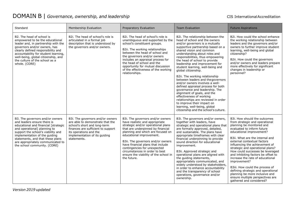#### DOMAIN B | *Governance, ownership, and leadership* CIS International Accreditation

| Standard                                                                                                                                                                                                                                                                                                               | Membership Evaluation                                                                                                                                                                                                | Preparatory Evaluation                                                                                                                                                                                                                                                                                                                                                                                             | <b>Team Evaluation</b>                                                                                                                                                                                                                                                                                                                                                                                                                                                                                                                                                                                                                                                                                                                                              | <b>Future Aspirations</b>                                                                                                                                                                                                                                                                                                                                                                                                                                                                                                                                                                               |
|------------------------------------------------------------------------------------------------------------------------------------------------------------------------------------------------------------------------------------------------------------------------------------------------------------------------|----------------------------------------------------------------------------------------------------------------------------------------------------------------------------------------------------------------------|--------------------------------------------------------------------------------------------------------------------------------------------------------------------------------------------------------------------------------------------------------------------------------------------------------------------------------------------------------------------------------------------------------------------|---------------------------------------------------------------------------------------------------------------------------------------------------------------------------------------------------------------------------------------------------------------------------------------------------------------------------------------------------------------------------------------------------------------------------------------------------------------------------------------------------------------------------------------------------------------------------------------------------------------------------------------------------------------------------------------------------------------------------------------------------------------------|---------------------------------------------------------------------------------------------------------------------------------------------------------------------------------------------------------------------------------------------------------------------------------------------------------------------------------------------------------------------------------------------------------------------------------------------------------------------------------------------------------------------------------------------------------------------------------------------------------|
| B2. The head of school is<br>empowered to be the educational<br>leader and, in partnership with the<br>governors and/or owners, has<br>clearly defined responsibility and<br>accountability for student learning,<br>well-being, global citizenship, and<br>the culture of the school as a<br>whole. (CORE)            | B2i. The head of school's role is<br>articulated in a formal job<br>description that is understood by<br>the governors and/or owners.                                                                                | B2i. The head of school's role is<br>unambiguous and supported by the<br>school's constituent groups.<br>B2ii. The working relationships<br>between the head of school and<br>the governors and/or owners<br>includes an appraisal process for<br>the head of school and the<br>opportunity for mutual discussion<br>of the effectiveness of the working<br>relationships.                                         | B2i. The relationship between the<br>head of school and the owners<br>and/or governors is a mutually<br>supportive partnership based on a<br>shared vision and common<br>understanding about roles and<br>responsibilities, thus empowering<br>the head of school to provide<br>leadership and improvement for<br>student learning, well-being and<br>global citizenship.<br>B2ii. The working relationship<br>between leaders and the governors<br>and/or owners involves a well-<br>defined appraisal process for both<br>governance and leadership. The<br>alignment of goals, and the<br>effectiveness of working<br>relationships are reviewed in order<br>to improve their impact on<br>learning, well-being, global<br>citizenship and the school's culture. | B2i. How could the school enhance<br>the working relationship between<br>leaders and the governors and/or<br>owners to further improve student<br>learning, well-being and global<br>citizenship?<br>B2ii. How could the governors<br>and/or owners and leaders prepare<br>more effectively for significant<br>changes in leadership or<br>personnel?                                                                                                                                                                                                                                                   |
| B3. The governors and/or owners<br>and leaders ensure there is<br>educational and financial [strategic<br>and operational] planning to<br>support the school's viability and<br>implementation of the guiding<br>statements, and that these plans<br>are appropriately communicated to<br>the school community. (CORE) | B3i. The governors and/or owners<br>are able to demonstrate that the<br>school's short and long-term<br>finances are sufficient to support<br>its operations and the<br>implementation of its guiding<br>statements. | B3i. The governors and/or owners<br>have realistic and appropriate<br>strategic and/or operational plans<br>that are underpinned by financial<br>planning and which are focused on<br>educational improvement.<br>B3ii. The governors and/or owners<br>have financial plans that include<br>contingencies for unexpected<br>circumstances in order to best<br>ensure the viability of the school in<br>the future. | B3i. The governors and/or owners,<br>together with leaders, have<br>strategic and operational plans that<br>are formally approved, detailed,<br>and sustainable. The plans have<br>appropriate timeframes with clear<br>financial underpinning to provide<br>sound direction for educational<br>improvement.<br>B3ii. Approved strategic and<br>operational plans are aligned with<br>the guiding statements,<br>appropriately communicated, and<br>widely understood by stakeholders,<br>in order to enhance accountability<br>and the transparency of school<br>operations, governance and/or<br>ownership.                                                                                                                                                       | B3i. How should the outcomes<br>from strategic and operational<br>planning be monitored and<br>evaluated to inform future<br>educational improvement?<br>B3ii. What are the internal and<br>external contextual factors<br>influencing the achievement of<br>strategic and operational plans?<br>How could successes be leveraged<br>and inhibiting factors be offset to<br>increase the rate of educational<br>improvement?<br>B3iii. How could the process of<br>defining strategic and operational<br>planning be more inclusive and<br>ensure multiple perspectives are<br>gathered and considered? |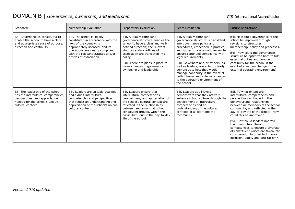### DOMAIN B | *Governance, ownership, and leadership* CIS International Accreditation

| Standard                                                                                                                                                         | Membership Evaluation                                                                                                                                                                                                               | Preparatory Evaluation                                                                                                                                                                                                                                                                                             | <b>Team Evaluation</b>                                                                                                                                                                                                                                                                                                                                                                                                                                                      | <b>Future Aspirations</b>                                                                                                                                                                                                                                                                                                                                                                                                                                                                |
|------------------------------------------------------------------------------------------------------------------------------------------------------------------|-------------------------------------------------------------------------------------------------------------------------------------------------------------------------------------------------------------------------------------|--------------------------------------------------------------------------------------------------------------------------------------------------------------------------------------------------------------------------------------------------------------------------------------------------------------------|-----------------------------------------------------------------------------------------------------------------------------------------------------------------------------------------------------------------------------------------------------------------------------------------------------------------------------------------------------------------------------------------------------------------------------------------------------------------------------|------------------------------------------------------------------------------------------------------------------------------------------------------------------------------------------------------------------------------------------------------------------------------------------------------------------------------------------------------------------------------------------------------------------------------------------------------------------------------------------|
| B4. Governance is constituted to<br>enable the school to have a clear<br>and appropriate sense of purpose,<br>direction and continuity.                          | B4i. The school is legally<br>constituted in accordance with the<br>laws of the country, is<br>appropriately licensed, and its<br>operations are clearly compliant<br>with the relevant statutes and/or<br>articles of association. | B4i. A legally compliant<br>governance structure enables the<br>school to have a clear and well-<br>defined direction; the relevant<br>statutes and/or articles of<br>association are translated into<br>policy.<br>B4ii. There are plans in place to<br>cover changes in governance,<br>ownership and leadership. | B4i. A legally compliant<br>governance structure is translated<br>into governance policy and<br>procedures, embedded in practice,<br>and subject to systematic review to<br>ensure continued compliance with<br>legal requirements.<br>B4ii. Governors and/or owners, as<br>well as leaders, are able to clearly<br>demonstrate how they would<br>manage continuity in the event of<br>both internal and external changes<br>to the operating environment of<br>the school. | B4i. How could governance of the<br>school be improved through<br>revisions to structures,<br>membership, policy and processes?<br>B4ii. How could the governance<br>structure be optimized both to fulfil<br>essential duties and provide<br>continuity for the school in the<br>event of a sudden change in the<br>external operating environment?                                                                                                                                     |
| B5. The leadership of the school<br>has the intercultural competencies,<br>perspectives, and appreciation<br>needed for the school's unique<br>cultural context. | B5i. Leaders are suitably qualified<br>and exhibit intercultural<br>competencies and perspectives<br>that reflect an understanding and<br>appreciation of the school's unique<br>cultural context.                                  | B5i. Leaders ensure that<br>intercultural competencies,<br>perspectives, and appreciation of<br>the school's cultural context are<br>reflected in the relationships<br>between and among all school<br>constituent groups, within the<br>curriculum, and in the day-to-day<br>life of the school.                  | B5i. Leaders at all levels<br>demonstrate that they actively<br>enhance school culture through the<br>development of intercultural<br>competencies and an<br>understanding of the cultural<br>contexts of all staff and the<br>community.                                                                                                                                                                                                                                   | B5i. To what extent are<br>intercultural competencies and<br>perspectives embodied in the<br>behaviour and relationships<br>between all members of the school<br>community, and reflected in the<br>day-to-day life of the school? How<br>could this be improved?<br>B5ii. How could leaders improve<br>their own intercultural<br>competencies to ensure a diversity<br>of constituent voices are taken into<br>consideration in order to improve<br>inclusion, equity and anti-racism? |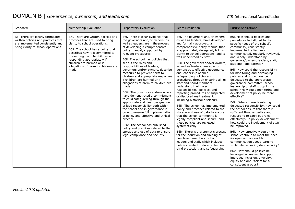#### DOMAIN B | *Governance, ownership, and leadership* CIS International Accreditation

| Standard                                                                                                                                           | Membership Evaluation                                                                                                                                                                                                                                                                                                             | Preparatory Evaluation                                                                                                                                                                                                                                                                                                                                                                                                                                                                                                                                                                                                                                                                                                                                                                                                                                                                                                                                            | <b>Team Evaluation</b>                                                                                                                                                                                                                                                                                                                                                                                                                                                                                                                                                                                                                                                                                                                                                                                                                                                                                                                                                                                                                                                                                                              | <b>Future Aspirations</b>                                                                                                                                                                                                                                                                                                                                                                                                                                                                                                                                                                                                                                                                                                                                                                                                                                                                                                                                                                                                                                                                                                                                                                            |
|----------------------------------------------------------------------------------------------------------------------------------------------------|-----------------------------------------------------------------------------------------------------------------------------------------------------------------------------------------------------------------------------------------------------------------------------------------------------------------------------------|-------------------------------------------------------------------------------------------------------------------------------------------------------------------------------------------------------------------------------------------------------------------------------------------------------------------------------------------------------------------------------------------------------------------------------------------------------------------------------------------------------------------------------------------------------------------------------------------------------------------------------------------------------------------------------------------------------------------------------------------------------------------------------------------------------------------------------------------------------------------------------------------------------------------------------------------------------------------|-------------------------------------------------------------------------------------------------------------------------------------------------------------------------------------------------------------------------------------------------------------------------------------------------------------------------------------------------------------------------------------------------------------------------------------------------------------------------------------------------------------------------------------------------------------------------------------------------------------------------------------------------------------------------------------------------------------------------------------------------------------------------------------------------------------------------------------------------------------------------------------------------------------------------------------------------------------------------------------------------------------------------------------------------------------------------------------------------------------------------------------|------------------------------------------------------------------------------------------------------------------------------------------------------------------------------------------------------------------------------------------------------------------------------------------------------------------------------------------------------------------------------------------------------------------------------------------------------------------------------------------------------------------------------------------------------------------------------------------------------------------------------------------------------------------------------------------------------------------------------------------------------------------------------------------------------------------------------------------------------------------------------------------------------------------------------------------------------------------------------------------------------------------------------------------------------------------------------------------------------------------------------------------------------------------------------------------------------|
| B6. There are clearly formulated<br>written policies and practices that<br>are implemented consistently and<br>bring clarity to school operations. | B6i. There are written policies and<br>practices that are used to bring<br>clarity to school operations.<br>B6ii. The school has a policy that<br>describes how it is committed to<br>preventing harm to children and<br>responding appropriately if<br>children are harmed or if<br>allegations of harm to children are<br>made. | B6i. There is clear evidence that<br>the governors and/or owners, as<br>well as leaders, are in the process<br>of developing a comprehensive<br>policy manual, supported by<br>relevant procedures.<br>B6ii. The school has policies that<br>set out the roles and<br>responsibilities of leaders,<br>governors and/or owners, describe<br>measures to prevent harm to<br>children and appropriate responses<br>if children are harmed or if<br>allegations of harm to children are<br>made.<br>B6iii. The governors and/orowners<br>have demonstrated a commitment<br>to child safeguarding through the<br>appropriate and clear designation<br>of lead responsibility both within<br>the school and in governance in<br>order to ensure full implementation<br>of policy and effective and ethical<br>practice.<br>B6iv. The school has published<br>policy and practices related to the<br>storage and use of data to ensure<br>legal compliance and security. | B6i. The governors and/or owners,<br>as well as leaders, have developed<br>and formally approved, a<br>comprehensive policy manual that<br>is appropriately delegated, brings<br>clarity to school operations, and is<br>well understood by staff.<br>B6ii. The governors and/or owners,<br>as well as leaders, are able to<br>demonstrate effective governance<br>and leadership of child<br>safeguarding policies and<br>procedures through ensuring all its<br>staff and board members<br>understand their roles,<br>responsibilities, policies, and<br>reporting procedures of suspected<br>or disclosed maltreatment,<br>including historical disclosure.<br>B6iii. The school has implemented<br>policy and practices related to the<br>storage and use of data to ensure<br>that the school community is<br>legally compliant and secure, and<br>these policies are reviewed<br>systematically.<br>B6iv. There is a systematic process<br>for the induction and training of<br>new board members, school<br>leaders and staff, which includes<br>policies related to data protection,<br>child protection, and safeguarding. | B6i. How should policies and<br>procedures be tailored to the<br>specific needs of the school's<br>community, consistently<br>implemented, effectively<br>communicated, regularly reviewed,<br>and widely understood by<br>governors/owners, leaders, staff,<br>students, and parents?<br>B6ii. How could the responsibility<br>for monitoring and developing<br>policies and procedures be<br>delegated to the appropriate<br>governance committee, school<br>leadership or staff group in the<br>school? How could monitoring and<br>development of policy be more<br>effective?<br>B6iii. Where there is existing<br>delegated responsibility, how could<br>the school ensure that there is<br>sufficient time, expertise and<br>resourcing to carry out roles<br>effectively? In policy development,<br>how could the involvement of staff<br>be improved?<br>B6iv. How effectively could the<br>school continue to meet the need<br>for open and accessible<br>communication about learning<br>whilst also ensuring data security?<br>B6v. How should policies be<br>leveraged or revised to support<br>improved inclusion, diversity,<br>equity and anti-racism for all<br>constituent groups? |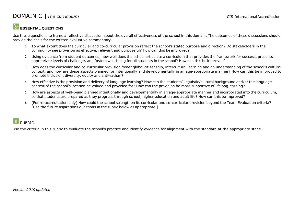#### **DOMAIN C** | The curriculum and the curriculum cIS International Accreditation

#### **ESSENTIAL QUESTIONS**

Use these questions to frame a reflective discussion about the overall effectiveness of the school in this domain. The outcomes of these discussions should provide the basis for the written evaluative commentary.

- 1. To what extent does the curricular and co-curricular provision reflect the school's stated purpose and direction? Do stakeholders in the community see provision as effective, relevant and purposeful? How can this be improved?
- 2. Using evidence from student outcomes, how well does the school articulate a curriculum that provides the framework for success, presents appropriate levels of challenge, and fosters well-being for all students in the school? How can this be improved?
- 3. How does the curricular and co-curricular provision foster global citizenship, intercultural learning and an understanding of the school's cultural context, and how are these aspects planned for intentionally and developmentally in an age-appropriate manner? How can this be improved to promote inclusion, diversity, equity and anti-racism?
- 4. How effective is the provision and delivery of language learning? How can the students' linguistic/cultural background and/or the languagecontext of the school's location be valued and provided for? How can the provision be more supportive of lifelonglearning?
- 5. How are aspects of well-being planned intentionally and developmentally in an age-appropriate manner and incorporated into the curriculum, so that students are prepared as they progress through school, higher education and adult life? How can this be improved?
- 6. [For re-accreditation only] How could the school strengthen its curricular and co-curricular provision beyond the Team Evaluation criteria? [Use the future aspirations questions in the rubric below as appropriate.]

#### |囲 RUBRIC

Use the criteria in this rubric to evaluate the school's practice and identify evidence for alignment with the standard at the appropriate stage.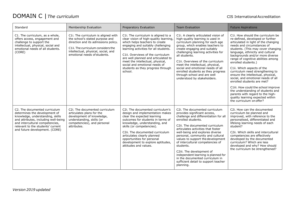### DOMAIN C | The curriculum and CIS International Accreditation

| Standard                                                                                                                                                                                                                                             | Membership Evaluation                                                                                                                                                                                                       | Preparatory Evaluation                                                                                                                                                                                                                                                                                                                                                                        | <b>Team Evaluation</b>                                                                                                                                                                                                                                                                                                                                                                                                                                                                                                          | <b>Future Aspirations</b>                                                                                                                                                                                                                                                                                                                                                                                                                                                                                                                                                                                                                                                         |
|------------------------------------------------------------------------------------------------------------------------------------------------------------------------------------------------------------------------------------------------------|-----------------------------------------------------------------------------------------------------------------------------------------------------------------------------------------------------------------------------|-----------------------------------------------------------------------------------------------------------------------------------------------------------------------------------------------------------------------------------------------------------------------------------------------------------------------------------------------------------------------------------------------|---------------------------------------------------------------------------------------------------------------------------------------------------------------------------------------------------------------------------------------------------------------------------------------------------------------------------------------------------------------------------------------------------------------------------------------------------------------------------------------------------------------------------------|-----------------------------------------------------------------------------------------------------------------------------------------------------------------------------------------------------------------------------------------------------------------------------------------------------------------------------------------------------------------------------------------------------------------------------------------------------------------------------------------------------------------------------------------------------------------------------------------------------------------------------------------------------------------------------------|
| C1. The curriculum, as a whole,<br>offers access, engagement and<br>challenge to support the<br>intellectual, physical, social and<br>emotional needs of all students.<br>(CORE)                                                                     | C1i. The curriculum is aligned with<br>the school's stated purpose and<br>direction and its admissions policy.<br>C1ii. The curriculum considers the<br>intellectual, physical, social, and<br>emotional needs of students. | C1. The curriculum is aligned to a<br>clear vision of high-quality learning,<br>which helps teachers to create<br>engaging and suitably challenging<br>learning activities for all students.<br>C1ii. Overviews of the curriculum<br>are well planned and articulated to<br>meet the intellectual, physical,<br>social and emotional needs of<br>students as they progress through<br>school. | C1i. A clearly articulated vision of<br>high-quality learning is used in<br>curriculum planning for each age<br>group, which enables teachers to<br>create engaging and suitably<br>challenging learning activities for<br>all students.<br>C1ii. Overviews of the curriculum<br>meet the intellectual, physical,<br>social and emotional needs of all<br>enrolled students as they progress<br>through school and are well<br>understood by stakeholders.                                                                      | C1i. How should the curriculum be<br>re-defined, developed or further<br>articulated in light of the changing<br>needs and circumstances of<br>students. (This may cover changing<br>language, ethnicity and cultural<br>backgrounds and/or more diverse<br>range of cognitive abilities among<br>enrolled students.)<br>C1ii. Which aspects of the<br>curriculum need strengthening to<br>ensure the intellectual, physical,<br>social, and emotional needs of all<br>enrolled students are met?<br>C1iii. How could the school improve<br>the understanding of students and<br>parents with regard to the high-<br>quality learning expected within<br>the curriculum on offer? |
| C2. The documented curriculum<br>determines the development of<br>knowledge, understanding, skills<br>and attributes, including well-being<br>and intercultural competencies,<br>relevant to the students' current<br>and future development. (CORE) | C2i. The documented curriculum<br>articulates plans for the<br>development of knowledge,<br>understanding, skills (or<br>competencies), and personal<br>attributes.                                                         | C2i. The documented curriculum's<br>design and implementation makes<br>clear the expected learning<br>outcomes for students in terms of<br>knowledge, understanding, and<br>skills (or competencies).<br>C2ii. The documented curriculum<br>articulates clearly planned<br>opportunities for personal<br>development to explore aptitudes,<br>attitudes and values.                           | C2i. The documented curriculum<br>provides significant access,<br>challenge and differentiation for all<br>enrolled students.<br>C2ii. The documented curriculum<br>articulates activities that foster<br>well-being and explores diverse<br>personal, community and cultural<br>values to support the development<br>of intercultural competencies of<br>students.<br>C2iii. The development of<br>independent learning is planned for<br>in the documented curriculum in<br>sufficient detail to support teacher<br>planning. | C2i. How can the documented<br>curriculum be planned and<br>improved, with reference to the<br>personalised, differentiated and<br>lifelong learning needs of each<br>student?<br>C2ii. Which skills and intercultural<br>competencies are effectively<br>developed by the documented<br>curriculum? Which are less<br>developed and why? How should<br>the curriculum be strengthened?                                                                                                                                                                                                                                                                                           |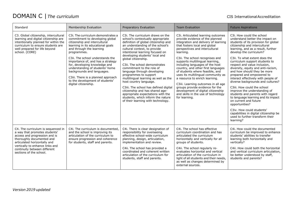### DOMAIN C | The curriculum and CIS International Accreditation

| Standard                                                                                                                                                                                                                                                        | Membership Evaluation                                                                                                                                                                                                                                                                                                                                                                                                                                              | Preparatory Evaluation                                                                                                                                                                                                                                                                                                                                                                                                                                                                                                                                                                                                                                            | <b>Team Evaluation</b>                                                                                                                                                                                                                                                                                                                                                                                                                                                                                                                                                                                                          | <b>Future Aspirations</b>                                                                                                                                                                                                                                                                                                                                                                                                                                                                                                                                                                                                                                                                                                                                                                           |
|-----------------------------------------------------------------------------------------------------------------------------------------------------------------------------------------------------------------------------------------------------------------|--------------------------------------------------------------------------------------------------------------------------------------------------------------------------------------------------------------------------------------------------------------------------------------------------------------------------------------------------------------------------------------------------------------------------------------------------------------------|-------------------------------------------------------------------------------------------------------------------------------------------------------------------------------------------------------------------------------------------------------------------------------------------------------------------------------------------------------------------------------------------------------------------------------------------------------------------------------------------------------------------------------------------------------------------------------------------------------------------------------------------------------------------|---------------------------------------------------------------------------------------------------------------------------------------------------------------------------------------------------------------------------------------------------------------------------------------------------------------------------------------------------------------------------------------------------------------------------------------------------------------------------------------------------------------------------------------------------------------------------------------------------------------------------------|-----------------------------------------------------------------------------------------------------------------------------------------------------------------------------------------------------------------------------------------------------------------------------------------------------------------------------------------------------------------------------------------------------------------------------------------------------------------------------------------------------------------------------------------------------------------------------------------------------------------------------------------------------------------------------------------------------------------------------------------------------------------------------------------------------|
| C3. Global citizenship, intercultural<br>learning and digital citizenship are<br>intentionally planned for within the<br>curriculum to ensure students are<br>well prepared for life beyond<br>school. (CORE)                                                   | C3i. The curriculum demonstrates a<br>commitment to developing global<br>citizenship and intercultural<br>learning in its educational goals<br>and through the learning<br>programmes.<br>C3ii. The school understands the<br>importance of, and has a strategy<br>for, developing knowledge and<br>understanding of students' home<br>backgrounds and languages.<br>C3iii. There is a planned approach<br>to the development of students'<br>digital citizenship. | C3i. The curriculum draws on the<br>school's contextually appropriate<br>definition of global citizenship and<br>an understanding of the school's<br>cultural context, to provide<br>intentional learning focused on<br>developing students' local and<br>global citizenship.<br>C3ii. The school demonstrates<br>commitment to the role of<br>language through developing<br>programmes to support<br>multilingual learning as well as the<br>host country language.<br>C3iii. The school has defined digital<br>citizenship and has shared age-<br>appropriate expectations with the<br>students, which inform the nature<br>of their learning with technology. | C3i. Articulated learning outcomes<br>provide evidence of the planned<br>integration and delivery of learning<br>that fosters local and global<br>perspectives and intercultural<br>learning.<br>C3ii. The school recognises and<br>supports multilingual learning,<br>including languages of the host<br>country, and other first languages<br>of students where feasible, and<br>uses its multilingual community as<br>a resource to enrich learning.<br>C3iii. Learning outcomes in all age<br>groups provide evidence for the<br>development of digital citizenship<br>and skills in the use of technology<br>for learning. | C3i. How could the school<br>understand better the impact on<br>students of its provision for global<br>citizenship and intercultural<br>learning, and as a result, further<br>develop the curriculum?<br>C3ii. To what extent does the<br>curriculum support students to<br>respect and value inclusion,<br>diversity, equity and anti-racism,<br>and how should they be more<br>prepared and empowered to<br>interact effectively with people of<br>diverse backgrounds and cultures?<br>C3iii. How could the school<br>improve the understanding of<br>students and parents with regard<br>to language learning and its impact<br>on current and future<br>opportunities?<br>C3iv. How could students'<br>capabilities in digital citizenship be<br>used to further transform their<br>learning? |
| C4. The curriculum is sequenced in<br>a way that promotes students'<br>access and progression and is<br>thoroughly documented and<br>articulated horizontally and<br>vertically to enhance links and<br>continuity between different<br>sections of the school. | C4i. The curriculum is documented.<br>and the school is improving its<br>articulation of the curriculum to<br>ensure progression and coherence<br>for students, staff and parents.                                                                                                                                                                                                                                                                                 | C4i. There is clear designation of<br>responsibility for overseeing<br>effective school-wide curriculum<br>planning, design, articulation,<br>implementation and review.<br>C4ii. The school has provided a<br>coordinated and coherent written<br>articulation of the curriculum for<br>students, staff and parents.                                                                                                                                                                                                                                                                                                                                             | C4i. The school has effective<br>curriculum coordination and has<br>articulated the curriculum<br>horizontally and vertically for all<br>groups of students.<br>C4ii. The school regularly re-<br>evaluates horizontal and vertical<br>articulation of the curriculum in<br>light of all students and their needs,<br>as well as changes determined by<br>external sources.                                                                                                                                                                                                                                                     | C4i. How could the documented<br>curriculum be improved to enhance<br>students' abilities to transfer<br>learning both horizontally and<br>vertically?<br>C4ii. How could both the horizontal<br>and vertical curriculum articulation,<br>be better understood by staff,<br>students and parents?                                                                                                                                                                                                                                                                                                                                                                                                                                                                                                   |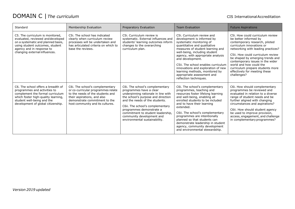### DOMAIN C | The curriculum and CIS International Accreditation

| Standard                                                                                                                                                                                                          | Membership Evaluation                                                                                                                                                                                         | Preparatory Evaluation                                                                                                                                                                                                                                                                                                                       | <b>Team Evaluation</b>                                                                                                                                                                                                                                                                                                                                                                                                       | <b>Future Aspirations</b>                                                                                                                                                                                                                                                                                                                                                                  |
|-------------------------------------------------------------------------------------------------------------------------------------------------------------------------------------------------------------------|---------------------------------------------------------------------------------------------------------------------------------------------------------------------------------------------------------------|----------------------------------------------------------------------------------------------------------------------------------------------------------------------------------------------------------------------------------------------------------------------------------------------------------------------------------------------|------------------------------------------------------------------------------------------------------------------------------------------------------------------------------------------------------------------------------------------------------------------------------------------------------------------------------------------------------------------------------------------------------------------------------|--------------------------------------------------------------------------------------------------------------------------------------------------------------------------------------------------------------------------------------------------------------------------------------------------------------------------------------------------------------------------------------------|
| C5. The curriculum is monitored.<br>evaluated, reviewed and developed<br>on a systematic and planned basis,<br>using student outcomes, student<br>agency and in response to<br>changing external influences.      | C5i. The school has indicated<br>clearly when curriculum review<br>processes will be undertaken and<br>has articulated criteria on which to<br>base the reviews.                                              | C5i. Curriculum review is<br>systematic. External influences and<br>students' learning outcomes inform<br>changes to the overarching<br>curriculum plan.                                                                                                                                                                                     | C5i. Curriculum review and<br>development is informed by<br>systematic monitoring of<br>quantitative and qualitative<br>measures of student learning and<br>well-being, including student<br>agency, with appropriate analysis<br>and development.<br>C5ii. The school enables curriculum<br>innovations and exploration of new<br>learning methods, monitored by<br>appropriate assessment and<br>reflection techniques.    | C5i. How could curriculum review<br>be better informed by<br>contemporary research, piloted<br>curriculum innovations or<br>networking with leading practices?<br>C5ii. How could curriculum review<br>be shaped by emerging trends and<br>contemporary issues in the wider<br>world and how could the<br>curriculum prepare students more<br>effectively for meeting these<br>challenges? |
| C6. The school offers a breadth of<br>programmes and activities to<br>complement the formal curriculum<br>which foster high-quality learning,<br>student well-being and the<br>development of global citizenship. | C6i. The school's complementary<br>or co-curricular programmes relate<br>to the needs of the students and<br>their aspirations, and also<br>demonstrate commitment to the<br>host community and its cultures. | C6i. The school's complementary<br>programmes have a clear<br>underpinning rationale in line with<br>the school's purpose and direction<br>and the needs of the students.<br>C6ii. The school's complementary<br>programmes demonstrate a<br>commitment to student leadership,<br>community development and<br>environmental sustainability. | C6i. The school's complementary<br>programmes, teaching and<br>resources foster lifelong learning<br>and well-being, enabling all<br>enrolled students to be included<br>and to have their learning<br>extended.<br>C6ii. The school's complementary<br>programmes are intentionally<br>planned so that students can<br>demonstrate leadership in student<br>agency, community development<br>and environmental stewardship. | C6i. How should complementary<br>programmes be reviewed and<br>evaluated in relation to a diverse<br>range of student needs and be<br>further aligned with changing<br>circumstances and aspirations?<br>C6ii. How should student agency<br>be used to improve provision,<br>access, engagement, and challenge<br>in complementary programmes?                                             |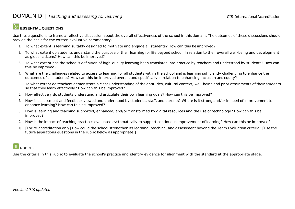#### **ESSENTIAL QUESTIONS**

Use these questions to frame a reflective discussion about the overall effectiveness of the school in this domain. The outcomes of these discussions should provide the basis for the written evaluative commentary.

- 1. To what extent is learning suitably designed to motivate and engage all students? How can this be improved?
- 2. To what extent do students understand the purpose of their learning for life beyond school, in relation to their overall well-being and development as global citizens? How can this be improved?
- 3. To what extent has the school's definition of high-quality learning been translated into practice by teachers and understood by students? How can this be improved?
- 4. What are the challenges related to access to learning for all students within the school and is learning sufficiently challenging to enhance the outcomes of all students? How can this be improved overall, and specifically in relation to enhancing inclusion and equity?
- 5. To what extent do teachers demonstrate a clear understanding of the aptitudes, cultural context, well-being and prior attainments of their students so that they learn effectively? How can this be improved?
- 6. How effectively do students understand and articulate their own learning goals? How can this be improved?
- 7. How is assessment and feedback viewed and understood by students, staff, and parents? Where is it strong and/or in need of improvement to enhance learning? How can this be improved?
- 8. How is learning and teaching supported, enhanced, and/or transformed by digital resources and the use of technology? How can this be improved?
- 9. How is the impact of teaching practices evaluated systematically to support continuous improvement of learning? How can this be improved?
- 10. [For re-accreditation only] How could the school strengthen its learning, teaching, and assessment beyond the Team Evaluation criteria? [Use the future aspirations questions in the rubric below as appropriate.]

#### |用 RUBRIC

Use the criteria in this rubric to evaluate the school's practice and identify evidence for alignment with the standard at the appropriate stage.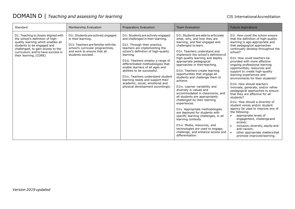| Standard                                                                                                                                                                                                                                          | Membership Evaluation                                                                                                                                                                   | Preparatory Evaluation                                                                                                                                                                                                                                                                                                                                                                                                                                                                     | <b>Team Evaluation</b>                                                                                                                                                                                                                                                                                                                                                                                                                                                                                                                                                                                                                                                                                                                                                                                                                                                  | <b>Future Aspirations</b>                                                                                                                                                                                                                                                                                                                                                                                                                                                                                                                                                                                                                                                                                                                                                                                                                                                                                                    |
|---------------------------------------------------------------------------------------------------------------------------------------------------------------------------------------------------------------------------------------------------|-----------------------------------------------------------------------------------------------------------------------------------------------------------------------------------------|--------------------------------------------------------------------------------------------------------------------------------------------------------------------------------------------------------------------------------------------------------------------------------------------------------------------------------------------------------------------------------------------------------------------------------------------------------------------------------------------|-------------------------------------------------------------------------------------------------------------------------------------------------------------------------------------------------------------------------------------------------------------------------------------------------------------------------------------------------------------------------------------------------------------------------------------------------------------------------------------------------------------------------------------------------------------------------------------------------------------------------------------------------------------------------------------------------------------------------------------------------------------------------------------------------------------------------------------------------------------------------|------------------------------------------------------------------------------------------------------------------------------------------------------------------------------------------------------------------------------------------------------------------------------------------------------------------------------------------------------------------------------------------------------------------------------------------------------------------------------------------------------------------------------------------------------------------------------------------------------------------------------------------------------------------------------------------------------------------------------------------------------------------------------------------------------------------------------------------------------------------------------------------------------------------------------|
| D1. Teaching is closely aligned with<br>the school's definition of high-<br>quality learning which enables all<br>students to be engaged and<br>challenged, to gain access to the<br>curriculum, and to have success in<br>their learning. (CORE) | D1i. Students are actively engaged<br>in their learning.<br>D1ii. Teachers are familiar with the<br>school's curricular programmes,<br>and work to ensure that all<br>students succeed. | D1i. Students are actively engaged<br>and challenged in their learning.<br>D1ii. Through their practice,<br>teachers are implementing the<br>school's definition of high-quality<br>learning.<br>D1iii. Teachers employ a range of<br>differentiated methodologies that<br>enable learners of all ages and<br>abilities to be successful.<br>D1iv. Teachers understand student<br>learning needs and support their<br>academic, social, emotional and<br>physical development accordingly. | D1i. Students are able to articulate<br>what, why, and how they are<br>learning, and feel engaged and<br>challenged to learn.<br>D1ii. Teachers understand and<br>implement the school's definition of<br>high-quality learning and deploy<br>appropriate pedagogical<br>approaches in their teaching.<br>D1iii. Teachers create learning<br>opportunities that engage all<br>students and challenge them to<br>achieve.<br>D1iv. Learner variability and<br>diversity is valued and<br>accommodated in classrooms, and<br>all students are appropriately<br>challenged by their learning<br>experiences.<br>D1v. Appropriate methodologies<br>are deployed for students with<br>specific learning challenges, in all<br>learning contexts.<br>D1vi. Media, resources, and<br>technologies are used to engage,<br>challenge, and enhance access and<br>differentiation. | D1i. How could the school ensure<br>that the definition of high-quality<br>learning is age-appropriate and<br>that pedagogical approaches<br>continually develop throughout the<br>school?<br>D1ii. How could teachers be<br>provided with more effective<br>ongoing professional learning<br>opportunities, resources and<br>support to create high-quality<br>learning experiences and<br>environments for their students?<br>D1iii. How should teachers<br>innovate, generate, and/or refine<br>pedagogical approaches to ensure<br>that they are effective for all<br>students?<br>D1iv. How should a diversity of<br>student voices and/or student<br>agency be used to improve any of<br>the following:<br>appropriate levels of<br>$\bullet$<br>engagement, challenge and<br>access;<br>inclusion, diversity, equity and<br>$\bullet$<br>anti-racism;<br>other appropriate matters that<br>promote improved learning. |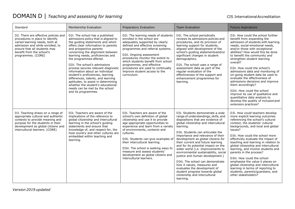| Standard                                                                                                                                                                                                                         | Membership Evaluation                                                                                                                                                                                                                                                                                                                                                                                                                                                                                                                                                                                        | Preparatory Evaluation                                                                                                                                                                                                                                                                                                                                                                                                                             | <b>Team Evaluation</b>                                                                                                                                                                                                                                                                                                                                                                                                                                                                                                                                                                                                                                              | <b>Future Aspirations</b>                                                                                                                                                                                                                                                                                                                                                                                                                                                                                                                                                                                                                                          |
|----------------------------------------------------------------------------------------------------------------------------------------------------------------------------------------------------------------------------------|--------------------------------------------------------------------------------------------------------------------------------------------------------------------------------------------------------------------------------------------------------------------------------------------------------------------------------------------------------------------------------------------------------------------------------------------------------------------------------------------------------------------------------------------------------------------------------------------------------------|----------------------------------------------------------------------------------------------------------------------------------------------------------------------------------------------------------------------------------------------------------------------------------------------------------------------------------------------------------------------------------------------------------------------------------------------------|---------------------------------------------------------------------------------------------------------------------------------------------------------------------------------------------------------------------------------------------------------------------------------------------------------------------------------------------------------------------------------------------------------------------------------------------------------------------------------------------------------------------------------------------------------------------------------------------------------------------------------------------------------------------|--------------------------------------------------------------------------------------------------------------------------------------------------------------------------------------------------------------------------------------------------------------------------------------------------------------------------------------------------------------------------------------------------------------------------------------------------------------------------------------------------------------------------------------------------------------------------------------------------------------------------------------------------------------------|
| D2. There are effective policies and<br>procedures in place to identify<br>varied learning needs, both at<br>admission and while enrolled, to<br>ensure that all students may<br>benefit from the school's<br>programmes. (CORE) | D2i. The school has a published<br>admissions policy that is aligned to<br>the quiding statements and which<br>offers clear information to parents<br>and prospective parents<br>concerning the alignment between<br>learning needs, proficiencies and<br>the programmes offered.<br>D2ii. The school's admissions<br>process secures relevant diagnostic<br>information about an individual<br>student's proficiencies, learning<br>differences, talents, and learning<br>aptitudes, to assist in determining<br>whether the student's educational<br>needs can be met by the school<br>and its programmes. | D2i. The learning needs of students<br>enrolled in the school are<br>adequately supported by clearly<br>defined and effective screening<br>programmes and referral systems.<br>D2ii. Ongoing assessment<br>procedures monitor the extent to<br>which students benefit from school<br>programmes, and effective<br>procedures are used to continually<br>improve student access to the<br>curriculum.                                               | D2i. The school periodically<br>reviews its admissions policies and<br>procedures, and its provision of<br>learning support for students,<br>aligned with development of the<br>school's quiding statementsand/or<br>significant changes in student<br>demographics.<br>D2ii. The school uses a range of<br>assessment data as part of the<br>regular evaluation of the<br>effectiveness of the support and<br>enhancement programmes for<br>learning.                                                                                                                                                                                                              | D2i. How could the school further<br>benefit from expanding the<br>admission of students with learning<br>needs, social-emotional needs,<br>and/or those with exceptional<br>abilities? How would this be done<br>to benefit the community and<br>strengthen student learning<br>overall?<br>D2ii. How could the school's<br>admissions data and monitoring of<br>on-going student data be used to<br>evaluate the effectiveness of<br>admissions decisions and improve<br>them accordingly?<br>D2iii. How could the school<br>improve its use of qualitative and<br>quantitative data analysis to<br>develop the quality of inclusion and<br>extension practices? |
| D3. Teaching draws on a range of<br>appropriate cultural and authentic<br>contexts to provide meaning and<br>purpose for the students in their<br>development as global citizens and<br>intercultural learners. (CORE)           | D3i. Teachers are aware of the<br>implications of the reference to<br>global citizenship and intercultural<br>learning in the school's guiding<br>statements and ensure that<br>knowledge of, and respect for, the<br>host country and other cultures are<br>embedded within teaching and<br>learning.                                                                                                                                                                                                                                                                                                       | D3i. Teachers are aware of the<br>school's own definition of global<br>citizenship and use it to provide<br>age-appropriate opportunities to<br>experience and learn from a variety<br>of environments, contexts and<br>cultures.<br>D3ii. Students can give examples of<br>their intercultural learning.<br>D3iii. The school is seeking ways to<br>measure and assess students'<br>development as global citizens and<br>intercultural learners. | D3i. Students demonstrate a wide<br>range of understandings, skills, and<br>dispositions that are evidence of<br>global citizenship and intercultural<br>learning.<br>D3ii. Students can articulate the<br>importance and relevance of their<br>development as global citizens for<br>their current and future learning<br>and for its potential impact on the<br>wider world (i.e. improvements to<br>environmental sustainability, social<br>justice and human development.)<br>D3iii. The school can demonstrate<br>how it values, measures and<br>evaluates the development of<br>student progress towards global<br>citizenship and intercultural<br>learning. | D3i. How could teachers develop<br>more explicit learning outcomes<br>referencing the school's cultural<br>context, the students' cultural<br>backgrounds, and local and global<br>issues?<br>D3ii. How could the school more<br>effectively evaluate the impact of<br>teaching and learning in relation to<br>global citizenship and intercultural<br>learning, and involve students and<br>parents in the process?<br>D3iii. How could the school<br>emphasise the value it places on<br>global citizenship and intercultural<br>learning in terms of reporting to<br>students, parents/guardians, and<br>other stakeholders?                                    |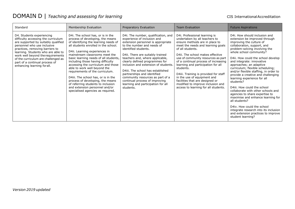| Standard                                                                                                                                                                                                                                                                                                                                                     | Membership Evaluation                                                                                                                                                                                                                                                                                                                                                                                                                                                                                                                                                                                   | Preparatory Evaluation                                                                                                                                                                                                                                                                                                                                                                                                                                                                                       | <b>Team Evaluation</b>                                                                                                                                                                                                                                                                                                                                                                                                                                                                                                 | <b>Future Aspirations</b>                                                                                                                                                                                                                                                                                                                                                                                                                                                                                                                                                                                                                                                                                                                         |
|--------------------------------------------------------------------------------------------------------------------------------------------------------------------------------------------------------------------------------------------------------------------------------------------------------------------------------------------------------------|---------------------------------------------------------------------------------------------------------------------------------------------------------------------------------------------------------------------------------------------------------------------------------------------------------------------------------------------------------------------------------------------------------------------------------------------------------------------------------------------------------------------------------------------------------------------------------------------------------|--------------------------------------------------------------------------------------------------------------------------------------------------------------------------------------------------------------------------------------------------------------------------------------------------------------------------------------------------------------------------------------------------------------------------------------------------------------------------------------------------------------|------------------------------------------------------------------------------------------------------------------------------------------------------------------------------------------------------------------------------------------------------------------------------------------------------------------------------------------------------------------------------------------------------------------------------------------------------------------------------------------------------------------------|---------------------------------------------------------------------------------------------------------------------------------------------------------------------------------------------------------------------------------------------------------------------------------------------------------------------------------------------------------------------------------------------------------------------------------------------------------------------------------------------------------------------------------------------------------------------------------------------------------------------------------------------------------------------------------------------------------------------------------------------------|
| D4. Students experiencing<br>difficulty accessing the curriculum<br>are supported by suitably qualified<br>personnel who use inclusive<br>practices, removing barriers to<br>learning. Students who are able to<br>work well beyond the requirements<br>of the curriculum are challenged as<br>part of a continual process of<br>enhancing learning for all. | D4i. The school has, or is in the<br>process of developing, the means<br>of identifying the learning needs of<br>all students enrolled in the school.<br>D4ii. Learning experiences in<br>mainstream classrooms meet the<br>basic learning needs of all students,<br>including those having difficulty<br>accessing the curriculum and those<br>able to work well beyond the<br>requirements of the curriculum.<br>D4iii. The school has, or is in the<br>process of developing, the means<br>of referring students to inclusion<br>and extension personnel and/or<br>specialised agencies as required. | D4i. The number, qualification, and<br>experience of inclusion and<br>extension personnel is appropriate<br>to the number and needs of<br>identified students.<br>D4ii. There are suitably trained<br>teachers and, where applicable,<br>clearly defined programmes for<br>inclusion and extension of students.<br>D4iii. The school has established<br>partnerships and identified<br>community resources as part of a<br>continual process of improving<br>learning and participation for all<br>students. | D4i. Professional learning is<br>undertaken by all teachers to<br>ensure methods are in place to<br>meet the needs and learning goals<br>of all students.<br>D4ii. The school makes effective<br>use of community resources as part<br>of a continual process of increasing<br>learning and participation for all<br>students.<br>D4iii. Training is provided for staff<br>in the use of equipment and<br>facilities that are designed or<br>modified to improve inclusion and<br>access to learning for all students. | D4i. How should inclusion and<br>extension be improved through<br>improving the culture of<br>collaboration, support, and<br>problem-solving involving the<br>whole school community?<br>D4ii. How could the school develop<br>and integrate: innovative<br>approaches; an adaptive<br>curriculum; flexible scheduling;<br>and/or flexible staffing, in order to<br>provide a creative and challenging<br>learning experience for all<br>students?<br>D4iii. How could the school<br>collaborate with other schools and<br>agencies to share expertise to<br>maximise and enhance learning for<br>all students?<br>D4iv. How could the school<br>integrate research into its inclusion<br>and extension practices to improve<br>student learning? |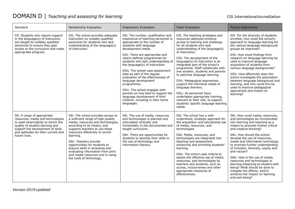| Standard                                                                                                                                                                                                                              | Membership Evaluation                                                                                                                                                                                                                                                                                                                                                                                                              | Preparatory Evaluation                                                                                                                                                                                                                                                                                                                                                                                                                                                                                                                                                                                              | <b>Team Evaluation</b>                                                                                                                                                                                                                                                                                                                                                                                                                                                                                                                                                                                                                                      | <b>Future Aspirations</b>                                                                                                                                                                                                                                                                                                                                                                                                                                                                                                                                                                              |
|---------------------------------------------------------------------------------------------------------------------------------------------------------------------------------------------------------------------------------------|------------------------------------------------------------------------------------------------------------------------------------------------------------------------------------------------------------------------------------------------------------------------------------------------------------------------------------------------------------------------------------------------------------------------------------|---------------------------------------------------------------------------------------------------------------------------------------------------------------------------------------------------------------------------------------------------------------------------------------------------------------------------------------------------------------------------------------------------------------------------------------------------------------------------------------------------------------------------------------------------------------------------------------------------------------------|-------------------------------------------------------------------------------------------------------------------------------------------------------------------------------------------------------------------------------------------------------------------------------------------------------------------------------------------------------------------------------------------------------------------------------------------------------------------------------------------------------------------------------------------------------------------------------------------------------------------------------------------------------------|--------------------------------------------------------------------------------------------------------------------------------------------------------------------------------------------------------------------------------------------------------------------------------------------------------------------------------------------------------------------------------------------------------------------------------------------------------------------------------------------------------------------------------------------------------------------------------------------------------|
| D5. Students who require support<br>in the language(s) of instruction<br>are taught by suitably qualified<br>personnel to ensure they gain<br>access to the curriculum and make<br>appropriate progress.                              | D5i. The school provides adequate<br>instruction by suitably qualified<br>personnel for students who lack<br>understanding of the language(s)<br>of instruction.                                                                                                                                                                                                                                                                   | D5i. The number, qualification and<br>experience of teaching personnel is<br>appropriate to the number of<br>students with language<br>development needs.<br>D5ii. There are appropriate and<br>clearly defined programmes for<br>students who lack understanding of<br>the language(s) of instruction.<br>D5iii. The school uses assessment<br>data as part of the regular<br>evaluation of the effectiveness of<br>language development<br>programmes.<br>D5iv. The school engages with<br>parents on how best to support the<br>language development of their<br>children, including in their home<br>languages. | D5i. The teaching strategies and<br>resources deployed enhance<br>access to learning and challenge<br>for all students who lack<br>understanding of the language(s)<br>of instruction.<br>D5ii. The development of the<br>language(s) of instruction is an<br>integrated part of the school's<br>programme. Staff collaborate with<br>one another, students and parents<br>to optimise language learning.<br>D5iii. Pedagogical approaches<br>support the individual needs of<br>language learners.<br>D5iv. All personnel have<br>undertaken appropriate training,<br>relevant to their role, to support<br>students' specific language learning<br>needs. | D5i. For the diversity of students<br>enrolled, how could the school's<br>approach to language learning for<br>the various language-background<br>groups be improved?<br>D5ii. How could findings from<br>research on language learning be<br>used to improve language<br>acquisition of students from<br>various language backgrounds?<br>D5iii. How effectively does the<br>school investigate the association<br>between language background and<br>learning, and how could this be<br>used to improve pedagogical<br>approaches and impact on<br>learning?                                         |
| D6. A range of appropriate<br>resources, media and technologies<br>is used meaningfully to enrich the<br>quality of student learning and<br>support the development of skills<br>and aptitudes for their current and<br>future lives. | D6i. The school provides access to<br>a sufficient range of high-quality<br>media, resources and technologies,<br>according to its means, and<br>supports teachers to use these<br>resources effectively to enrich<br>learning.<br>D6ii. Teachers provide<br>opportunities for students to<br>acquire skills in accessing and<br>evaluating information from print<br>and media resources and in using<br>the tools of technology. | D6i. The use of media, resources<br>and technologies is planned and<br>articulated vertically and<br>horizontally in the documented and<br>taught curriculum.<br>D6ii. There are opportunities for<br>students to develop their skills in<br>the use of technology and<br>information literacy.                                                                                                                                                                                                                                                                                                                     | D6i. The school has a well-<br>understood, strategic approach for<br>the acquisition and educational use<br>of media, resources, and<br>technologies.<br>D6ii. Media, resources, and<br>technologies are integrated into<br>teaching and assessment,<br>enhancing and enriching students'<br>learning.<br>D6iii. The school uses criteria to<br>assess the effective use of media,<br>resources, and technologies by<br>teachers and students, such as<br>access, inclusiveness and other<br>appropriate measures of<br>effectiveness.                                                                                                                      | D6i. How could media, resources,<br>and technologies be incorporated<br>into learning and teaching as a<br>means to promote further critical<br>and creative thinking?<br>D6ii. How should the school<br>develop the use of resources,<br>media and information technology<br>to promote further understanding<br>of inclusion, diversity, equity and<br>anti-racism?<br>D6iii. How is the use of media,<br>resources and technologies in<br>learning impacting on student well-<br>being? What should be done to<br>mitigate the effects, and/or<br>enhance the impact on learning<br>and well-being? |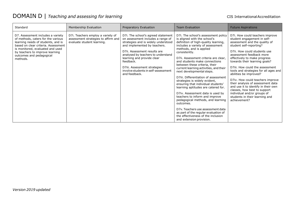| Standard                                                                                                                                                                                                                                                            | Membership Evaluation                                                                                  | Preparatory Evaluation                                                                                                                                                                                                                                                                                                                                  | <b>Team Evaluation</b>                                                                                                                                                                                                                                                                                                                                                                                                                                                                                                                                                                                                                                                                                                                                                                                    | <b>Future Aspirations</b>                                                                                                                                                                                                                                                                                                                                                                                                                                                                                                                                                                      |
|---------------------------------------------------------------------------------------------------------------------------------------------------------------------------------------------------------------------------------------------------------------------|--------------------------------------------------------------------------------------------------------|---------------------------------------------------------------------------------------------------------------------------------------------------------------------------------------------------------------------------------------------------------------------------------------------------------------------------------------------------------|-----------------------------------------------------------------------------------------------------------------------------------------------------------------------------------------------------------------------------------------------------------------------------------------------------------------------------------------------------------------------------------------------------------------------------------------------------------------------------------------------------------------------------------------------------------------------------------------------------------------------------------------------------------------------------------------------------------------------------------------------------------------------------------------------------------|------------------------------------------------------------------------------------------------------------------------------------------------------------------------------------------------------------------------------------------------------------------------------------------------------------------------------------------------------------------------------------------------------------------------------------------------------------------------------------------------------------------------------------------------------------------------------------------------|
| D7. Assessment includes a variety<br>of methods, caters for the various<br>learning needs of students, and is<br>based on clear criteria. Assessment<br>is monitored, evaluated and used<br>by teachers to improve learning<br>outcomes and pedagogical<br>methods. | D7i. Teachers employ a variety of<br>assessment strategies to affirm and<br>evaluate student learning. | D7i. The school's agreed statement<br>on assessment includes a range of<br>strategies and is widely understood<br>and implemented by teachers.<br>D7ii. Assessment results are<br>analysed by teachers to understand<br>learning and provide clear<br>feedback.<br>D7iii. Assessment strategies<br>involve students in self-assessment<br>and feedback. | D7i. The school's assessment policy<br>is aligned with the school's<br>definition of high-quality learning,<br>includes a variety of assessment<br>methods, and is applied<br>consistently.<br>D7ii. Assessment criteria are clear.<br>and students make connections<br>between these criteria, their<br>current learning activities, and their<br>next developmental steps.<br>D7iii. Differentiation of assessment<br>strategies is widely evident,<br>ensuring that individual students'<br>learning aptitudes are catered for.<br>D7iv. Assessment data is used by<br>teachers to inform and improve<br>pedagogical methods, and learning<br>outcomes.<br>D7v. Teachers use assessment data<br>as part of the regular evaluation of<br>the effectiveness of the inclusion<br>and extension provision. | D7i. How could teachers improve<br>student engagement in self-<br>assessment and the quality of<br>student self-reporting?<br>D7ii. How could students use<br>assessment feedback more<br>effectively to make progress<br>towards their learning goals?<br>D7iii. How could the assessment<br>tools and strategies for all ages and<br>abilities be improved?<br>D7iv. How could teachers improve<br>their analysis of assessment data<br>and use it to identify in their own<br>classes, how best to support<br>individual and/or groups of<br>students in their learning and<br>achievement? |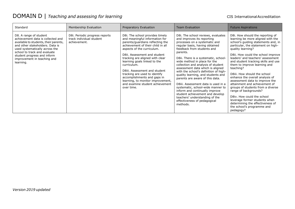| Standard                                                                                                                                                                                                                                                                             | Membership Evaluation                                                      | Preparatory Evaluation                                                                                                                                                                                                                                                                                                                                                                                                                                                            | <b>Team Evaluation</b>                                                                                                                                                                                                                                                                                                                                                                                                                                                                                                                                                                                                                                                           | <b>Future Aspirations</b>                                                                                                                                                                                                                                                                                                                                                                                                                                                                                                                                                                                                                                                                |
|--------------------------------------------------------------------------------------------------------------------------------------------------------------------------------------------------------------------------------------------------------------------------------------|----------------------------------------------------------------------------|-----------------------------------------------------------------------------------------------------------------------------------------------------------------------------------------------------------------------------------------------------------------------------------------------------------------------------------------------------------------------------------------------------------------------------------------------------------------------------------|----------------------------------------------------------------------------------------------------------------------------------------------------------------------------------------------------------------------------------------------------------------------------------------------------------------------------------------------------------------------------------------------------------------------------------------------------------------------------------------------------------------------------------------------------------------------------------------------------------------------------------------------------------------------------------|------------------------------------------------------------------------------------------------------------------------------------------------------------------------------------------------------------------------------------------------------------------------------------------------------------------------------------------------------------------------------------------------------------------------------------------------------------------------------------------------------------------------------------------------------------------------------------------------------------------------------------------------------------------------------------------|
| D8. A range of student<br>achievement data is collected and<br>available to students, their parents,<br>and other stakeholders. Data is<br>used systematically across the<br>school to track and evaluate<br>student progress and inform<br>improvement in teaching and<br>learning. | D8i. Periodic progress reports<br>track individual student<br>achievement. | D8i. The school provides timely<br>and meaningful information for<br>parents/guardians reflecting the<br>achievement of their child in all<br>aspects of the curriculum.<br>D8ii. Assessment and student<br>tracking are aligned with clear<br>learning goals linked to the<br>curriculum.<br>D8iii. Assessment and student<br>tracking are used to identify<br>accomplishments and gaps in<br>learning, to monitor improvement,<br>and examine student achievement<br>over time. | D8i. The school reviews, evaluates<br>and improves its reporting<br>processes on a systematic and<br>regular basis, having obtained<br>feedback from students and<br>parents.<br>D8ii. There is a systematic, school-<br>wide method in place for the<br>collection and analysis of student<br>assessment data which is aligned<br>with the school's definition of high-<br>quality learning, and students and<br>parents are aware of this data.<br>D8iii. Assessment data is used in a<br>systematic, school-wide manner to<br>inform and continually improve<br>student achievement and develop<br>teachers' understanding of the<br>effectiveness of pedagogical<br>methods. | D8i. How should the reporting of<br>learning be more aligned with the<br>school's guiding statements and, in<br>particular, the statement on high-<br>quality learning?<br>D8ii. How could the school improve<br>leaders' and teachers' assessment<br>and student tracking skills and use<br>them to improve learning and<br>teaching?<br>D8iii. How should the school<br>enhance the overall analysis of<br>assessment data to improve the<br>attainment and achievement of<br>groups of students from a diverse<br>range of backgrounds?<br>D8iv. How could the school<br>leverage former students when<br>determining the effectiveness of<br>the school's programme and<br>pedagogy? |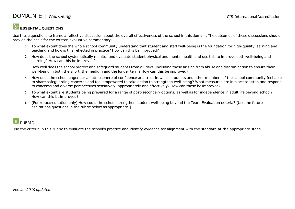#### **ESSENTIAL QUESTIONS**

Use these questions to frame a reflective discussion about the overall effectiveness of the school in this domain. The outcomes of these discussions should provide the basis for the written evaluative commentary.

- 1. To what extent does the whole school community understand that student and staff well-being is the foundation for high-quality learning and teaching and how is this reflected in practice? How can this be improved?
- 2. How does the school systematically monitor and evaluate student physical and mental health and use this to improve both well-being and learning? How can this be improved?
- 3. How well does the school protect and safeguard students from all risks, including those arising from abuse and discrimination to ensure their well-being in both the short, the medium and the longer term? How can this be improved?
- 4. How does the school engender an atmosphere of confidence and trust in which students and other members of the school community feel able to share safeguarding concerns and feel empowered to take action to strengthen well-being? What measures are in place to listen and respond to concerns and diverse perspectives sensitively, appropriately and effectively? How can these be improved?
- 5. To what extent are students being prepared for a range of post-secondary options, as well as for independence in adult life beyond school? How can this beimproved?
- 6. [For re-accreditation only] How could the school strengthen student well-being beyond the Team Evaluation criteria? [Use the future aspirations questions in the rubric below as appropriate.]

### **RUBRIC**

Use the criteria in this rubric to evaluate the school's practice and identify evidence for alignment with the standard at the appropriate stage.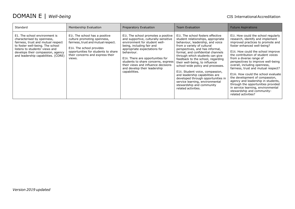| Standard                                                                                                                                                                                                                                            | Membership Evaluation                                                                                                                                                                                                  | Preparatory Evaluation                                                                                                                                                                                                                                                                                                                                     | <b>Team Evaluation</b>                                                                                                                                                                                                                                                                                                                                                                                                                                                                                                                                               | <b>Future Aspirations</b>                                                                                                                                                                                                                                                                                                                                                                                                                                                                                                                                                                                        |
|-----------------------------------------------------------------------------------------------------------------------------------------------------------------------------------------------------------------------------------------------------|------------------------------------------------------------------------------------------------------------------------------------------------------------------------------------------------------------------------|------------------------------------------------------------------------------------------------------------------------------------------------------------------------------------------------------------------------------------------------------------------------------------------------------------------------------------------------------------|----------------------------------------------------------------------------------------------------------------------------------------------------------------------------------------------------------------------------------------------------------------------------------------------------------------------------------------------------------------------------------------------------------------------------------------------------------------------------------------------------------------------------------------------------------------------|------------------------------------------------------------------------------------------------------------------------------------------------------------------------------------------------------------------------------------------------------------------------------------------------------------------------------------------------------------------------------------------------------------------------------------------------------------------------------------------------------------------------------------------------------------------------------------------------------------------|
| E1. The school environment is<br>characterised by openness,<br>fairness, trust and mutual respect<br>to foster well-being. The school<br>listens to students' views and<br>develops their compassion, agency<br>and leadership capabilities. (CORE) | E1i. The school has a positive<br>culture promoting openness,<br>fairness, trust and mutual respect.<br>E1ii. The school provides<br>opportunities for students to share<br>their concerns and express their<br>views. | E1. The school promotes a positive<br>and supportive, culturally-sensitive<br>environment for student well-<br>being, including fair and<br>appropriate expectations for<br>behaviour.<br>E1ii. There are opportunities for<br>students to share concerns, express<br>their views and influence decisions<br>and develop their leadership<br>capabilities. | E11. The school fosters effective<br>student relationships, appropriate<br>behaviour, leadership, and voice<br>from a variety of cultural<br>perspectives, and has informal,<br>formal, and confidential channels<br>through which students can give<br>feedback to the school, regarding<br>their well-being, to influence<br>school-wide policy and processes.<br>E1ii. Student voice, compassion,<br>and leadership capabilities are<br>developed through opportunities in<br>service learning, environmental<br>stewardship and community<br>related activities. | E11. How could the school regularly<br>research, identify and implement<br>improved practices to promote and<br>foster enhanced well-being?<br>E1ii. How could the school improve<br>the contribution of student voices<br>from a diverse range of<br>perspectives to improve well-being<br>overall, including openness,<br>fairness, trust and mutual respect?<br>E1iii. How could the school evaluate<br>the development of compassion,<br>agency and leadership in students,<br>through the opportunities provided<br>in service learning, environmental<br>stewardship and community-<br>related activities? |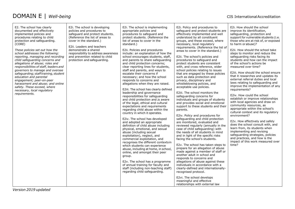| E2. The school has clearly<br>documented and effectively<br>implemented policies and<br>procedures relating to child<br>protection and safeguarding.<br>(CORE)<br>These policies set out how the<br>school addresses the following:<br>reporting, managing and recording<br>child safeguarding concerns and<br>allegations of abuse; roles and<br>responsibilities of staff, leaders and<br>governors to manage and oversee<br>safeguarding; staff training, student<br>education and parental<br>engagement; peer-on-peer<br>harassment and abuse; and online<br>safety. These exceed, where<br>necessary, local regulatory<br>requirements. | E2i. The school is developing<br>policies and procedures to<br>safeguard and protect students.<br>(Reference the list of areas to<br>cover in the standard.)<br>E2ii. Leaders and teachers<br>demonstrate a shared<br>responsibility to address awareness<br>and prevention related to child<br>protection and safeguarding. | E2i. The school is implementing<br>appropriate policies and<br>procedures to safeguard and<br>protect students. (Reference the<br>list of areas to cover in the<br>standard.)<br>E2ii. Policies and procedures<br>include: an explanation of how the<br>school encourages students, staff,<br>and parents to share safeguarding<br>and child protection concerns;<br>clear reporting lines for students,<br>staff and parents, and ways to<br>escalate their concerns if<br>necessary; and how the school<br>responds to concerns and<br>allegations when they are raised.<br>E2iii. The school has clearly defined<br>leadership and governance<br>responsibilities for safeguarding<br>and child protection and is aware<br>of the legal, ethical and cultural<br>expectations and requirements<br>regarding child abuse within the<br>country in which it operates.<br>E2iv. The school has developed<br>and adopted an appropriate<br>definition of child abuse including<br>physical, emotional, and sexual<br>abuse (including sexual<br>exploitation), neglect, and<br>commercial exploitation, and<br>recognises the different contexts in<br>which students can experience<br>abuse, including at home, in school,<br>online, and amongst their peer<br>group.<br>E2v. The school has a programme<br>of annual training for faculty and<br>staff (including non-teaching staff)<br>regarding child safeguarding. | E2i. Policy and procedures to<br>safeguard and protect students are<br>effectively implemented and well<br>understood by all constituent<br>groups, and these exceed, where<br>necessary, local regulatory<br>requirements. (Reference the list of<br>areas to cover in the standard.)<br>E2ii. The school's policies and<br>procedures to safeguard and<br>protect students are consistent<br>with, and cross reference, wider<br>school policies relating to issues<br>that are engaged by these policies<br>such as data protection and<br>privacy, disciplinary and<br>whistleblowing policies, and<br>acceptable use policies.<br>E2iii. The school monitors the<br>safeguarding concerns for<br>individuals and groups of students<br>and provides social and emotional<br>support to these students and their<br>parents.<br>E2iv. Policy and procedures for<br>safeguarding and child protection<br>are monitored, evaluated and<br>reviewed regularly (annually in the<br>case of child safeguarding) with<br>the needs of all students in mind<br>and in light of the specific risks<br>facing the school's students.<br>E2v. The school has taken steps to<br>prepare for an allegation of abuse<br>made against a member of staff or<br>another adult in school and<br>responds to concerns and<br>allegations of abuse against these<br>individuals in accordance with a<br>clearly-defined and internationally-<br>recognised protocol.<br>E2vi. The school develops<br>meaningful and effective<br>relationships with external law | E2i. How should the school<br>improve its identification,<br>safeguarding, protection and<br>support for vulnerable students (i.e.<br>those who are at risk of, or exposed<br>to harm or abuse)?<br>E2ii. How should the school take<br>steps to monitor and reduce the<br>safeguarding risks facing its<br>students and how can the impact<br>of the school's actions be<br>measured over time?<br>E2iii. How should the school ensure<br>that it researches and updates its<br>external referral duties and local<br>laws relating to safeguarding and<br>improve the implementation of any<br>requirements?<br>E2iv. How could the school<br>establish or improve relationships<br>with local agencies and draw on<br>community resources, as<br>appropriate within the school's<br>cultural context and its regulatory<br>environment?<br>E2v. How effectively and safely<br>does the school consult with, and<br>learn from, its students when<br>implementing and revising<br>safeguarding strategies, policies<br>and practices, and how is the<br>impact of this work measured over<br>time? |
|-----------------------------------------------------------------------------------------------------------------------------------------------------------------------------------------------------------------------------------------------------------------------------------------------------------------------------------------------------------------------------------------------------------------------------------------------------------------------------------------------------------------------------------------------------------------------------------------------------------------------------------------------|------------------------------------------------------------------------------------------------------------------------------------------------------------------------------------------------------------------------------------------------------------------------------------------------------------------------------|---------------------------------------------------------------------------------------------------------------------------------------------------------------------------------------------------------------------------------------------------------------------------------------------------------------------------------------------------------------------------------------------------------------------------------------------------------------------------------------------------------------------------------------------------------------------------------------------------------------------------------------------------------------------------------------------------------------------------------------------------------------------------------------------------------------------------------------------------------------------------------------------------------------------------------------------------------------------------------------------------------------------------------------------------------------------------------------------------------------------------------------------------------------------------------------------------------------------------------------------------------------------------------------------------------------------------------------------------------------------------------------------------------------------------|---------------------------------------------------------------------------------------------------------------------------------------------------------------------------------------------------------------------------------------------------------------------------------------------------------------------------------------------------------------------------------------------------------------------------------------------------------------------------------------------------------------------------------------------------------------------------------------------------------------------------------------------------------------------------------------------------------------------------------------------------------------------------------------------------------------------------------------------------------------------------------------------------------------------------------------------------------------------------------------------------------------------------------------------------------------------------------------------------------------------------------------------------------------------------------------------------------------------------------------------------------------------------------------------------------------------------------------------------------------------------------------------------------------------------------------------------------------------------------------------------------------------------------------------------|------------------------------------------------------------------------------------------------------------------------------------------------------------------------------------------------------------------------------------------------------------------------------------------------------------------------------------------------------------------------------------------------------------------------------------------------------------------------------------------------------------------------------------------------------------------------------------------------------------------------------------------------------------------------------------------------------------------------------------------------------------------------------------------------------------------------------------------------------------------------------------------------------------------------------------------------------------------------------------------------------------------------------------------------------------------------------------------------------|
|-----------------------------------------------------------------------------------------------------------------------------------------------------------------------------------------------------------------------------------------------------------------------------------------------------------------------------------------------------------------------------------------------------------------------------------------------------------------------------------------------------------------------------------------------------------------------------------------------------------------------------------------------|------------------------------------------------------------------------------------------------------------------------------------------------------------------------------------------------------------------------------------------------------------------------------------------------------------------------------|---------------------------------------------------------------------------------------------------------------------------------------------------------------------------------------------------------------------------------------------------------------------------------------------------------------------------------------------------------------------------------------------------------------------------------------------------------------------------------------------------------------------------------------------------------------------------------------------------------------------------------------------------------------------------------------------------------------------------------------------------------------------------------------------------------------------------------------------------------------------------------------------------------------------------------------------------------------------------------------------------------------------------------------------------------------------------------------------------------------------------------------------------------------------------------------------------------------------------------------------------------------------------------------------------------------------------------------------------------------------------------------------------------------------------|---------------------------------------------------------------------------------------------------------------------------------------------------------------------------------------------------------------------------------------------------------------------------------------------------------------------------------------------------------------------------------------------------------------------------------------------------------------------------------------------------------------------------------------------------------------------------------------------------------------------------------------------------------------------------------------------------------------------------------------------------------------------------------------------------------------------------------------------------------------------------------------------------------------------------------------------------------------------------------------------------------------------------------------------------------------------------------------------------------------------------------------------------------------------------------------------------------------------------------------------------------------------------------------------------------------------------------------------------------------------------------------------------------------------------------------------------------------------------------------------------------------------------------------------------|------------------------------------------------------------------------------------------------------------------------------------------------------------------------------------------------------------------------------------------------------------------------------------------------------------------------------------------------------------------------------------------------------------------------------------------------------------------------------------------------------------------------------------------------------------------------------------------------------------------------------------------------------------------------------------------------------------------------------------------------------------------------------------------------------------------------------------------------------------------------------------------------------------------------------------------------------------------------------------------------------------------------------------------------------------------------------------------------------|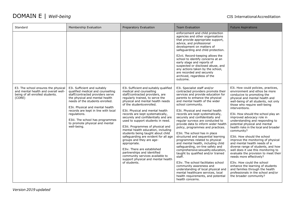| Standard                                                                                                                | Membership Evaluation                                                                                                                                                                                                                                                                                                                                      | Preparatory Evaluation                                                                                                                                                                                                                                                                                                                                                                                                                                                                                                                                                                                                                                                                                                  | <b>Team Evaluation</b>                                                                                                                                                                                                                                                                                                                                                                                                                                                                                                                                                                                                                                                                                                                                                                                                                                                                                          | <b>Future Aspirations</b>                                                                                                                                                                                                                                                                                                                                                                                                                                                                                                                                                                                                                                                                                                                                                                                                                                |
|-------------------------------------------------------------------------------------------------------------------------|------------------------------------------------------------------------------------------------------------------------------------------------------------------------------------------------------------------------------------------------------------------------------------------------------------------------------------------------------------|-------------------------------------------------------------------------------------------------------------------------------------------------------------------------------------------------------------------------------------------------------------------------------------------------------------------------------------------------------------------------------------------------------------------------------------------------------------------------------------------------------------------------------------------------------------------------------------------------------------------------------------------------------------------------------------------------------------------------|-----------------------------------------------------------------------------------------------------------------------------------------------------------------------------------------------------------------------------------------------------------------------------------------------------------------------------------------------------------------------------------------------------------------------------------------------------------------------------------------------------------------------------------------------------------------------------------------------------------------------------------------------------------------------------------------------------------------------------------------------------------------------------------------------------------------------------------------------------------------------------------------------------------------|----------------------------------------------------------------------------------------------------------------------------------------------------------------------------------------------------------------------------------------------------------------------------------------------------------------------------------------------------------------------------------------------------------------------------------------------------------------------------------------------------------------------------------------------------------------------------------------------------------------------------------------------------------------------------------------------------------------------------------------------------------------------------------------------------------------------------------------------------------|
|                                                                                                                         |                                                                                                                                                                                                                                                                                                                                                            |                                                                                                                                                                                                                                                                                                                                                                                                                                                                                                                                                                                                                                                                                                                         | enforcement and child protection<br>agencies and other organisations<br>that provide appropriate support,<br>advice, and professional<br>development on matters of<br>safequarding and child protection.<br>E2vii. Record-keeping allows the<br>school to identify concerns at an<br>early stage and reports of<br>suspected or disclosed abuse, and<br>any actions taken by the school,<br>are recorded and securely<br>archived, regardless of the<br>outcome.                                                                                                                                                                                                                                                                                                                                                                                                                                                |                                                                                                                                                                                                                                                                                                                                                                                                                                                                                                                                                                                                                                                                                                                                                                                                                                                          |
| E3. The school ensures the physical<br>and mental health and overall well-<br>being of all enrolled students.<br>(CORE) | E3i. Sufficient and suitably<br>qualified medical and counselling<br>staff/contracted providers serve<br>the physical and mental health<br>needs of the students enrolled.<br>E3ii. Physical and mental health<br>records are kept in line with local<br>regulations.<br>E3iii. The school has programmes<br>to promote physical and mental<br>well-being. | E3i. Sufficient and suitably qualified<br>medical and counselling<br>staff/contracted providers, are<br>regularly trained, to serve the<br>physical and mental health needs<br>of the students enrolled.<br>E3ii. Physical and mental health<br>records are kept systematically,<br>securely and confidentially and are<br>used to support students in need.<br>E3iii. Programmes of physical and<br>mental health education, including<br>students being taught about child<br>safeguarding are evident for all age<br>groups and they are age-<br>appropriate.<br>E3iv. There are established<br>partnerships and identified<br>community services available to<br>support physical and mental health<br>of students. | E3i. Specialist staff and/or<br>contracted providers promote their<br>services and provide education for<br>parents to enhance the physical<br>and mental health of the wider<br>school community.<br>E3ii. Physical and mental health<br>records are kept systematically,<br>securely and confidentially and<br>regular surveys are conducted to<br>provide data to inform wider health<br>policy, programmes and practices.<br>E3iii. The school has in place<br>structured and sequential learning<br>programmes related to physical<br>and mental health, including child<br>safeguarding, on-line safety and<br>comprehensive sexuality education,<br>taught by qualified and/or trained<br>staff.<br>E3iv. The school facilitates school<br>community awareness and<br>understanding of local physical and<br>mental healthcare services, local<br>health requirements, and potential<br>health concerns. | E3i. How could policies, practices,<br>environment and ethos be more<br>conducive to promoting the<br>physical and mental health and<br>well-being of all students, not only<br>those who require well-being<br>interventions.<br>E3ii. How should the school play an<br>improved advocacy role in<br>understanding and responding to<br>potential physical and mental<br>health risks in the local and broader<br>community?<br>E3iii. How should the school<br>improve the monitoring of physical<br>and mental health needs of a<br>diverse range of students, and how<br>well does it use this monitoring to<br>evaluate the provision to meet their<br>needs more effectively?<br>E3iv. How could the school<br>enhance the learning of students<br>and families through the health<br>professionals in the school and/or<br>the broader community? |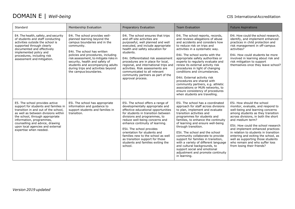| Standard                                                                                                                                                                                                                                                                                                              | Membership Evaluation                                                                                                                                                                                                                                                                                                                                            | Preparatory Evaluation                                                                                                                                                                                                                                                                                                                                                                                                                           | <b>Team Evaluation</b>                                                                                                                                                                                                                                                                                                                                                                                                                                                                                                                                                                                       | <b>Future Aspirations</b>                                                                                                                                                                                                                                                                                                                                                                                                                                           |
|-----------------------------------------------------------------------------------------------------------------------------------------------------------------------------------------------------------------------------------------------------------------------------------------------------------------------|------------------------------------------------------------------------------------------------------------------------------------------------------------------------------------------------------------------------------------------------------------------------------------------------------------------------------------------------------------------|--------------------------------------------------------------------------------------------------------------------------------------------------------------------------------------------------------------------------------------------------------------------------------------------------------------------------------------------------------------------------------------------------------------------------------------------------|--------------------------------------------------------------------------------------------------------------------------------------------------------------------------------------------------------------------------------------------------------------------------------------------------------------------------------------------------------------------------------------------------------------------------------------------------------------------------------------------------------------------------------------------------------------------------------------------------------------|---------------------------------------------------------------------------------------------------------------------------------------------------------------------------------------------------------------------------------------------------------------------------------------------------------------------------------------------------------------------------------------------------------------------------------------------------------------------|
| E4. The health, safety, and security<br>of students and staff conducting<br>activities outside the school is<br>supported through clearly<br>documented and effectively<br>implemented policy and<br>procedures, including risk<br>assessment and mitigation.                                                         | E4i. The school provides well-<br>planned learning beyond the<br>campus boundaries and in the<br>community.<br>E4ii. The school has written<br>policies and procedures, including<br>risk assessment, to mitigate risks in<br>security, health and safety of<br>students and accompanying adults<br>during trips and activities beyond<br>the campus boundaries. | E4i. The school ensures that trips<br>and off-site activities are<br>purposeful, well planned and well<br>executed, and include appropriate<br>health and safety education for<br>students.<br>E4ii. Differentiated risk assessment<br>procedures are in place for local,<br>regional, and international trips and<br>activities. Risk assessments are<br>communicated to all relevant<br>community partners as part of the<br>approval process. | E4i. The school reports, records,<br>and reviews allegations of abuse<br>and accidents and considers how<br>to reduce risk on trips and<br>activities in a systematic way.<br>E4ii. The school works with the<br>appropriate safety authorities or<br>experts to regularly evaluate and<br>renew its external activity risk<br>procedures in light of changing<br>conditions and circumstances.<br>E4iii. External activity risk<br>procedures are shared with<br>community partners, e.g. athletic<br>associations or MUN networks, to<br>ensure consistency of procedures<br>when students are travelling. | E4i. How could the school research.<br>identify, and implement enhanced<br>practices in child protection and<br>risk management in off-campus<br>activities?<br>E4ii. How could students be more<br>involved in learning about risk and<br>risk mitigation to support<br>themselves once they leave school?                                                                                                                                                         |
| E5. The school provides active<br>support for students and families in<br>transition in and out of the school,<br>as well as between divisions within<br>the school, through appropriate<br>information, programmes,<br>counselling and advice, drawing<br>upon local agencies and external<br>expertise when needed. | E5i. The school has appropriate<br>information and guidance to<br>support students and families in<br>transition.                                                                                                                                                                                                                                                | E5i. The school offers a range of<br>developmentally appropriate and<br>effective educational opportunities<br>for students in transition between<br>divisions and programmes, to<br>reduce well-being concerns and<br>enhance continuity of learning.<br>E5ii. The school provides<br>orientation for students and<br>families new to the school as well<br>as transition support for those<br>students and families exiting the<br>school.     | E5i. The school has a coordinated<br>approach for staff across divisions<br>to plan, implement and evaluate<br>transition activities and<br>programmes for students and<br>families, to enhance the continuity<br>of learning and ensure well-being<br>through transition.<br>E5ii. The school and the school<br>community collaborate to provide<br>support for families in transition,<br>with a variety of different language<br>and cultural backgrounds, to<br>support social and emotional<br>adjustment and promote continuity<br>in learning.                                                        | E5i. How should the school<br>monitor, evaluate, and respond to<br>well-being and learning concerns<br>among students as they transition<br>across divisions, in both the short<br>and medium term?<br>E5ii. How could the school research<br>and implement enhanced practices<br>in relation to students in transition<br>entering and exiting the school, as<br>well as supporting those students<br>who remain and who suffer loss<br>from losing their friends? |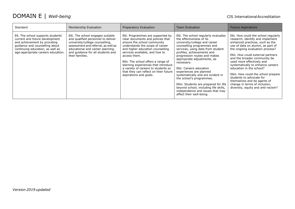| Standard                                                                                                                                                                                                        | Membership Evaluation                                                                                                                                                                                                                        | Preparatory Evaluation                                                                                                                                                                                                                                                                                                                                                                                               | <b>Team Evaluation</b>                                                                                                                                                                                                                                                                                                                                                                                                                                                                                                                                  | <b>Future Aspirations</b>                                                                                                                                                                                                                                                                                                                                                                                                                                                                                                      |
|-----------------------------------------------------------------------------------------------------------------------------------------------------------------------------------------------------------------|----------------------------------------------------------------------------------------------------------------------------------------------------------------------------------------------------------------------------------------------|----------------------------------------------------------------------------------------------------------------------------------------------------------------------------------------------------------------------------------------------------------------------------------------------------------------------------------------------------------------------------------------------------------------------|---------------------------------------------------------------------------------------------------------------------------------------------------------------------------------------------------------------------------------------------------------------------------------------------------------------------------------------------------------------------------------------------------------------------------------------------------------------------------------------------------------------------------------------------------------|--------------------------------------------------------------------------------------------------------------------------------------------------------------------------------------------------------------------------------------------------------------------------------------------------------------------------------------------------------------------------------------------------------------------------------------------------------------------------------------------------------------------------------|
| E6. The school supports students'<br>current and future development<br>and achievement by providing<br>quidance and counselling about<br>continuing education, as well as<br>age-appropriate careers education. | E6i. The school engages suitable<br>and qualified personnel to deliver<br>university/college counselling,<br>assessment and referral, as well as<br>educational and career planning.<br>and quidance for all students and<br>their families. | E6i. Programmes are supported by<br>clear documents and policies that<br>ensure the school community<br>understands the scope of career<br>and higher education counselling<br>services available, and how to<br>access them.<br>E6ii. The school offers a range of<br>learning experiences that introduce<br>a variety of careers to students so<br>that they can reflect on their future<br>aspirations and goals. | E6i. The school regularly evaluates<br>the effectiveness of its<br>university/college and career<br>counselling programmes and<br>services, using data from student<br>profiles, achievements and<br>progression routes and makes<br>appropriate adjustments, as<br>necessary.<br>E6ii. Careers education<br>experiences are planned<br>systematically and are evident in<br>the school's programmes.<br>E6iii. Students are prepared for life<br>beyond school, including life skills,<br>independence and issues that may<br>affect their well-being. | E6i. How could the school regularly<br>research, identify and implement<br>enhanced practices, such as the<br>use of data on alumni, as part of<br>the ongoing evaluation process?<br>E6ii. How could external partners<br>and the broader community be<br>used more effectively and<br>systematically to enhance careers<br>education in the school?<br>E6iii. How could the school prepare<br>students to advocate for<br>themselves and be agents of<br>change in terms of inclusion,<br>diversity, equity and anti-racism? |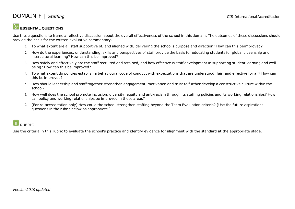#### **ESSENTIAL QUESTIONS**

Use these questions to frame a reflective discussion about the overall effectiveness of the school in this domain. The outcomes of these discussions should provide the basis for the written evaluative commentary.

- 1. To what extent are all staff supportive of, and aligned with, delivering the school's purpose and direction? How can this beimproved?
- 2. How do the experiences, understanding, skills and perspectives of staff provide the basis for educating students for global citizenship and intercultural learning? How can this be improved?
- 3. How safely and effectively are the staff recruited and retained, and how effective is staff development in supporting student learning and wellbeing? How can this be improved?
- 4. To what extent do policies establish a behavioural code of conduct with expectations that are understood, fair, and effective for all? How can this be improved?
- 5. How should leadership and staff together strengthen engagement, motivation and trust to further develop a constructive culture within the school?
- 6. How well does the school promote inclusion, diversity, equity and anti-racism through its staffing policies and its working relationships? How can policy and working relationships be improved in these areas?
- 7. [For re-accreditation only] How could the school strengthen staffing beyond the Team Evaluation criteria? [Use the future aspirations questions in the rubric below as appropriate.]

#### |囲 RUBRIC

Use the criteria in this rubric to evaluate the school's practice and identify evidence for alignment with the standard at the appropriate stage.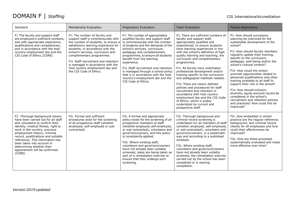| Standard                                                                                                                                                                                                                                                                                                                                                                                           | Membership Evaluation                                                                                                                                                                                                                                                                                                                                                                                 | Preparatory Evaluation                                                                                                                                                                                                                                                                                                                                                                                                                                                             | <b>Team Evaluation</b>                                                                                                                                                                                                                                                                                                                                                                                                                                                                                                                                                                                                                                                                                                | <b>Future Aspirations</b>                                                                                                                                                                                                                                                                                                                                                                                                                                                                                                                                                                                                                                      |
|----------------------------------------------------------------------------------------------------------------------------------------------------------------------------------------------------------------------------------------------------------------------------------------------------------------------------------------------------------------------------------------------------|-------------------------------------------------------------------------------------------------------------------------------------------------------------------------------------------------------------------------------------------------------------------------------------------------------------------------------------------------------------------------------------------------------|------------------------------------------------------------------------------------------------------------------------------------------------------------------------------------------------------------------------------------------------------------------------------------------------------------------------------------------------------------------------------------------------------------------------------------------------------------------------------------|-----------------------------------------------------------------------------------------------------------------------------------------------------------------------------------------------------------------------------------------------------------------------------------------------------------------------------------------------------------------------------------------------------------------------------------------------------------------------------------------------------------------------------------------------------------------------------------------------------------------------------------------------------------------------------------------------------------------------|----------------------------------------------------------------------------------------------------------------------------------------------------------------------------------------------------------------------------------------------------------------------------------------------------------------------------------------------------------------------------------------------------------------------------------------------------------------------------------------------------------------------------------------------------------------------------------------------------------------------------------------------------------------|
| F1. The faculty and support staff<br>are employed in sufficient numbers,<br>and with appropriate experience,<br>qualifications and competencies,<br>and in accordance with the host<br>country employment law and the<br>CIS Code of Ethics. (CORE)                                                                                                                                                | F1i. The number of faculty and<br>support staff is commensurate with<br>the number of students, to ensure a<br>satisfactory learning experience for<br>students, in accordance with the<br>school's services, curriculum and<br>complementary programmes.<br>F1ii. Staff recruitment and retention<br>is managed in accordance with the<br>host country employment law and<br>the CIS Code of Ethics. | F1. The number of appropriately<br>qualified faculty and support staff<br>is commensurate with the number<br>of students and the demands of the<br>school's services, curriculum,<br>pedagogy and complementary<br>programmes, to ensure all students<br>benefit from the learning<br>experience.<br>F1ii. Staff recruitment and retention<br>is managed through a school policy<br>that is in accordance with the host<br>country's employment law and the<br>CIS Code of Ethics. | F1i. There are sufficient numbers of<br>faculty and support staff,<br>appropriately qualified and<br>experienced, to ensure students<br>have learning experiences in line<br>with the school's definition of high<br>quality learning and teaching, the<br>curriculum and complementary<br>programmes.<br>F1ii. All faculty have undertaken<br>professional development and/or<br>training specific to the curriculum<br>and pedagogical methods needed.<br>F1iii. There are clearly defined<br>policies and procedures for staff<br>recruitment and retention in<br>accordance with host country<br>employment law and the CIS Code<br>of Ethics, which is widely<br>understood by current and<br>prospective staff. | F1i. How should succession<br>planning be improved for the<br>sustainable development of the<br>school?<br>F1ii. How should faculty members<br>regularly update their training,<br>specific to the curriculum,<br>pedagogy, well-being and/or the<br>school's cultural context?<br>F1iii. How could the school<br>promote opportunities related to<br>advanced qualifications and other<br>training available to all staff to<br>support their role in the school?<br>Fliv. How should inclusion,<br>diversity, equity and anti-racism be<br>considered in the school's<br>recruitment and retention policies<br>and practices? How could this be<br>improved? |
| F2. Thorough background checks<br>have been carried out for all staff<br>and volunteers to confirm their<br>identity, medical fitness, right to<br>work in the country, previous<br>employment history, criminal<br>record, qualifications and suitable<br>references. This information has<br>been taken into account in<br>determining whether their<br>appointment will be confirmed.<br>(CORE) | F2i. Formal and sufficient<br>procedures exist for the screening<br>of all prospective staff (whether<br>employed, self-employed or sub-<br>contracted).                                                                                                                                                                                                                                              | F2i. A formal and appropriate<br>policy exists for the screening of all<br>prospective members of staff<br>(whether employed, self-employed,<br>or sub-contracted), volunteers and<br>governors/owners, and this policy<br>is consistently applied.<br>F2ii. Where existing staff,<br>volunteers and governors/owners<br>have not already been suitably<br>screened, steps are being taken as<br>part of a remediation exercise to<br>ensure that they undergo such<br>screening.  | F2i. Thorough background and<br>criminal record screening is<br>undertaken for all members of staff<br>(whether employed, self-employed,<br>or sub-contracted), volunteers and<br>governors/owners, in a systematic<br>way and according to a published<br>schedule.<br>F2ii. Where existing staff,<br>volunteers and governors/owners<br>have not already been suitably<br>screened, the remediation exercise<br>carried out by the school has been<br>completed or is nearing<br>completion.                                                                                                                                                                                                                        | F2i. How embedded in school<br>practice are the regular reference,<br>background, and criminal record<br>checks for all employees and how<br>could their effectiveness be<br>improved?<br>F2ii. How are these processes<br>systematically evaluated and made<br>more effective over time?                                                                                                                                                                                                                                                                                                                                                                      |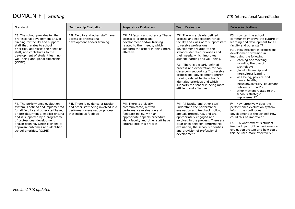| Standard                                                                                                                                                                                                                                                                                                                        | Membership Evaluation                                                                                                                 | Preparatory Evaluation                                                                                                                                                                                          | <b>Team Evaluation</b>                                                                                                                                                                                                                                                                                                                                                                                                                                                                                                                                               | <b>Future Aspirations</b>                                                                                                                                                                                                                                                                                                                                                                                                                                                                                                                  |
|---------------------------------------------------------------------------------------------------------------------------------------------------------------------------------------------------------------------------------------------------------------------------------------------------------------------------------|---------------------------------------------------------------------------------------------------------------------------------------|-----------------------------------------------------------------------------------------------------------------------------------------------------------------------------------------------------------------|----------------------------------------------------------------------------------------------------------------------------------------------------------------------------------------------------------------------------------------------------------------------------------------------------------------------------------------------------------------------------------------------------------------------------------------------------------------------------------------------------------------------------------------------------------------------|--------------------------------------------------------------------------------------------------------------------------------------------------------------------------------------------------------------------------------------------------------------------------------------------------------------------------------------------------------------------------------------------------------------------------------------------------------------------------------------------------------------------------------------------|
| F3. The school provides for the<br>professional development and/or<br>training for faculty and support<br>staff that relates to school<br>priorities, addresses the needs of<br>staff, and contributes to the<br>development of student learning,<br>well-being and global citizenship.<br>(CORE)                               | F3i. Faculty and other staff have<br>access to professional<br>development and/or training.                                           | F3i. All faculty and other staff have<br>access to professional<br>development and/or training<br>related to their needs, which<br>supports the school in being more<br>effective.                              | F3i. There is a clearly defined<br>process and expectation for all<br>faculty and classroom support staff<br>to receive professional<br>development related to the<br>school's identified priorities and<br>their needs, which improves<br>student learning and well-being.<br>F3ii. There is a clearly defined<br>process and expectation for non-<br>classroom support staff to receive<br>professional development and/or<br>training related to the school's<br>identified priorities and which<br>supports the school in being more<br>efficient and effective. | F3i. How can the school<br>community improve the culture of<br>learning and development for all<br>faculty and other staff?<br>F3ii. How effective is professional<br>development provision in<br>improving the following:<br>learning and teaching<br>including the use of<br>technology;<br>global citizenship and<br>interculturallearning;<br>well-being, physical and<br>$\bullet$<br>mental health:<br>inclusion, diversity, equity and<br>anti-racism; and/or<br>other matters related to the<br>school's strategic<br>improvement? |
| F4. The performance evaluation<br>system is defined and implemented<br>for all faculty and other staff based<br>on pre-determined, explicit criteria<br>and is supported by a programme<br>of professional development<br>and/or training, which is linked to<br>appraisal outcomes and identified<br>school priorities. (CORE) | F4i. There is evidence of faculty<br>and other staff being involved in a<br>performance evaluation process<br>that includes feedback. | F4i. There is a clearly<br>communicated, written<br>performance evaluation and<br>feedback policy, with an<br>appropriate appeals procedure.<br>Many faculty and other staff have<br>entered into this process. | F4i. All faculty and other staff<br>understand the performance<br>evaluation and feedback policy,<br>appeals procedures, and are<br>appropriately engaged and<br>involved in the process. There are<br>clear links between performance<br>evaluation, the school's priorities<br>and provision of professional<br>development.                                                                                                                                                                                                                                       | F4i. How effectively does the<br>performance evaluation system<br>inform the continuous<br>development of the school? How<br>could this be improved?<br>F4ii. To what extent is student<br>feedback part of the performance<br>evaluation system and how could<br>this be used more effectively?                                                                                                                                                                                                                                           |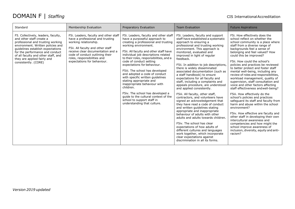| Standard                                                                                                                                                                                                                                                                                                        | Membership Evaluation                                                                                                                                                                                                                                                         | Preparatory Evaluation                                                                                                                                                                                                                                                                                                                                                                                                                                                                                                                                                                                                                                | <b>Team Evaluation</b>                                                                                                                                                                                                                                                                                                                                                                                                                                                                                                                                                                                                                                                                                                                                                                                                                                                                                                                                                                                                                        | <b>Future Aspirations</b>                                                                                                                                                                                                                                                                                                                                                                                                                                                                                                                                                                                                                                                                                                                                                                                                                                                                                                                                                          |
|-----------------------------------------------------------------------------------------------------------------------------------------------------------------------------------------------------------------------------------------------------------------------------------------------------------------|-------------------------------------------------------------------------------------------------------------------------------------------------------------------------------------------------------------------------------------------------------------------------------|-------------------------------------------------------------------------------------------------------------------------------------------------------------------------------------------------------------------------------------------------------------------------------------------------------------------------------------------------------------------------------------------------------------------------------------------------------------------------------------------------------------------------------------------------------------------------------------------------------------------------------------------------------|-----------------------------------------------------------------------------------------------------------------------------------------------------------------------------------------------------------------------------------------------------------------------------------------------------------------------------------------------------------------------------------------------------------------------------------------------------------------------------------------------------------------------------------------------------------------------------------------------------------------------------------------------------------------------------------------------------------------------------------------------------------------------------------------------------------------------------------------------------------------------------------------------------------------------------------------------------------------------------------------------------------------------------------------------|------------------------------------------------------------------------------------------------------------------------------------------------------------------------------------------------------------------------------------------------------------------------------------------------------------------------------------------------------------------------------------------------------------------------------------------------------------------------------------------------------------------------------------------------------------------------------------------------------------------------------------------------------------------------------------------------------------------------------------------------------------------------------------------------------------------------------------------------------------------------------------------------------------------------------------------------------------------------------------|
| F5. Collectively, leaders, faculty,<br>and other staff create a<br>professional and trusting working<br>environment. Written policies and<br>guidelines establish expectations<br>for the performance and conduct<br>of all faculty and other staff, and<br>they are applied fairly and<br>consistently. (CORE) | F5i. Leaders, faculty and other staff<br>have a professional and trusting<br>working relationship.<br>F5ii. All faculty and other staff<br>receive clear documentation and a<br>code of conduct outlining their<br>roles, responsibilities and<br>expectations for behaviour. | F5i. Leaders, faculty and other staff<br>have a purposeful approach to<br>creating a professional and trusting<br>working environment.<br>F5ii. All faculty and other staff have<br>individual job descriptions related<br>to their roles, responsibilities, and a<br>code of conduct setting<br>expectations for behaviour.<br>F5iii. The school has developed<br>and adopted a code of conduct<br>with specific written guidelines<br>stating appropriate and<br>inappropriate behaviour with<br>children.<br>F5iv. The school has developed a<br>guide to the cultural context of the<br>school to support staff in<br>understanding that culture. | F5i. Leaders, faculty and support<br>staff have established a systematic<br>approach to ensuring a<br>professional and trusting working<br>environment. This approach is<br>monitored, evaluated and<br>improved in light of regular<br>feedback.<br>F5ii. In addition to job descriptions,<br>there is widely disseminated<br>associated documentation (such as<br>a staff handbook) to ensure<br>expectations for all faculty and<br>staff, including a complaints and<br>appeals procedure, are understood<br>and applied consistently.<br>F5iii. All faculty, other staff,<br>contractors, and volunteers have<br>signed an acknowledgement that<br>they have read a code of conduct<br>and written quidelines stating<br>appropriate and inappropriate<br>behaviour of adults with other<br>adults and adults towards children.<br>F5iv. The school has clear<br>expectations of how adults of<br>different cultures and languages<br>work together, which incorporate<br>clear expectations against<br>discrimination in all its forms. | F5i. How effectively does the<br>school reflect on whether the<br>school community is a place where<br>staff from a diverse range of<br>backgrounds feel a sense of<br>belonging and feel valued? How<br>could this be improved?<br>F5ii. How could the school's<br>policies and practices be reviewed<br>to better protect and foster staff<br>mental well-being, including any<br>review of roles and responsibilities,<br>workload management, quality of<br>supervision, staff consultation and<br>voice and other factors affecting<br>staff effectiveness and well-being?<br>F5iii. How effectively do the<br>school's policies and practices<br>safequard its staff and faculty from<br>harm and abuse within the school<br>environment?<br>F5iv. How effective are faculty and<br>other staff in developing their own<br>intercultural awareness and<br>competencies and how might the<br>school improve awareness of<br>inclusion, diversity, equity and anti-<br>racism? |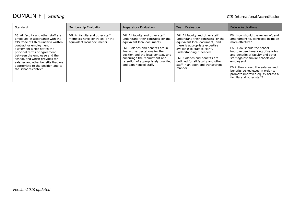| Standard                                                                                                                                                                                                                                                                                                                                                                      | Membership Evaluation                                                                             | Preparatory Evaluation                                                                                                                                                                                                                                                                                                  | <b>Team Evaluation</b>                                                                                                                                                                                                                                                                                                          | <b>Future Aspirations</b>                                                                                                                                                                                                                                                                                                                                                                       |
|-------------------------------------------------------------------------------------------------------------------------------------------------------------------------------------------------------------------------------------------------------------------------------------------------------------------------------------------------------------------------------|---------------------------------------------------------------------------------------------------|-------------------------------------------------------------------------------------------------------------------------------------------------------------------------------------------------------------------------------------------------------------------------------------------------------------------------|---------------------------------------------------------------------------------------------------------------------------------------------------------------------------------------------------------------------------------------------------------------------------------------------------------------------------------|-------------------------------------------------------------------------------------------------------------------------------------------------------------------------------------------------------------------------------------------------------------------------------------------------------------------------------------------------------------------------------------------------|
| F6. All faculty and other staff are<br>employed in accordance with the<br>CIS Code of Ethics under a written<br>contract or employment<br>agreement which states the<br>principal terms of agreement<br>between the employee and the<br>school, and which provides for<br>salaries and other benefits that are<br>appropriate to the position and to<br>the school's context. | F6i. All faculty and other staff<br>members have contracts (or the<br>equivalent local document). | F6i. All faculty and other staff<br>understand their contracts (or the<br>equivalent local document).<br>F6ii. Salaries and benefits are in<br>line with expectations for the<br>position and the local context, and<br>encourage the recruitment and<br>retention of appropriately qualified<br>and experienced staff. | F6i. All faculty and other staff<br>understand their contracts (or the<br>equivalent local document) and<br>there is appropriate expertise<br>available to staff to clarify<br>understanding if needed.<br>F6ii. Salaries and benefits are<br>outlined for all faculty and other<br>staff in an open and transparent<br>manner. | F6i. How should the review of, and<br>amendment to, contracts be made<br>more effective?<br>F6ii. How should the school<br>improve benchmarking of salaries<br>and benefits of faculty and other<br>staff against similar schools and<br>employers?<br>F6iii. How should the salaries and<br>benefits be reviewed in order to<br>promote improved equity across all<br>faculty and other staff? |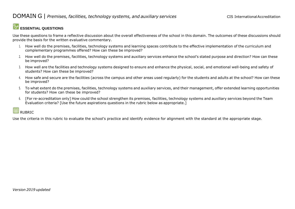#### **ESSENTIAL QUESTIONS**

Use these questions to frame a reflective discussion about the overall effectiveness of the school in this domain. The outcomes of these discussions should provide the basis for the written evaluative commentary.

- 1. How well do the premises, facilities, technology systems and learning spaces contribute to the effective implementation of the curriculum and complementary programmes offered? How can these be improved?
- 2. How well do the premises, facilities, technology systems and auxiliary services enhance the school's stated purpose and direction? How can these be improved?
- 3. How well are the facilities and technology systems designed to ensure and enhance the physical, social, and emotional well-being and safety of students? How can these be improved?
- 4. How safe and secure are the facilities (across the campus and other areas used regularly) for the students and adults at the school? How can these be improved?
- 5. To what extent do the premises, facilities, technology systems and auxiliary services, and their management, offer extended learning opportunities for students? How can these be improved?
- 6. [For re-accreditation only] How could the school strengthen its premises, facilities, technology systems and auxiliary services beyond the Team Evaluation criteria? [Use the future aspirations questions in the rubric below as appropriate.]

### **RUBRIC**

Use the criteria in this rubric to evaluate the school's practice and identify evidence for alignment with the standard at the appropriate stage.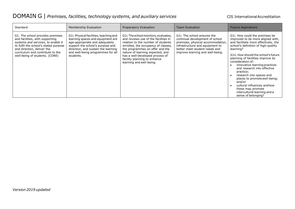| Standard                                                                                                                                                                                                                                               | Membership Evaluation                                                                                                                                                                                                                      | Preparatory Evaluation                                                                                                                                                                                                                                                                                                          | <b>Team Evaluation</b>                                                                                                                                                                                      | <b>Future Aspirations</b>                                                                                                                                                                                                                                                                                                                                                                                                                                                                                                         |
|--------------------------------------------------------------------------------------------------------------------------------------------------------------------------------------------------------------------------------------------------------|--------------------------------------------------------------------------------------------------------------------------------------------------------------------------------------------------------------------------------------------|---------------------------------------------------------------------------------------------------------------------------------------------------------------------------------------------------------------------------------------------------------------------------------------------------------------------------------|-------------------------------------------------------------------------------------------------------------------------------------------------------------------------------------------------------------|-----------------------------------------------------------------------------------------------------------------------------------------------------------------------------------------------------------------------------------------------------------------------------------------------------------------------------------------------------------------------------------------------------------------------------------------------------------------------------------------------------------------------------------|
| G1. The school provides premises<br>and facilities, with supporting<br>systems and services, to enable it<br>to fulfil the school's stated purpose<br>and direction, deliver the<br>curriculum and contribute to the<br>well-being of students. (CORE) | G1i. Physical facilities, teaching and<br>learning spaces and equipment are<br>age-appropriate and adequately<br>support the school's purpose and<br>direction, and sustain the learning<br>and well-being programmes for all<br>students. | G1i. The school monitors, evaluates,<br>and reviews use of the facilities in<br>relation to the number of students<br>enrolled, the occupancy of classes,<br>the programmes on offer and the<br>nature of learning expected, and<br>has a well-developed process of<br>facility planning to enhance<br>learning and well-being. | G1i. The school ensures the<br>continual development of school<br>premises, physical accommodation,<br>infrastructure and equipment to<br>better meet student needs and<br>improve learning and well-being. | G1i. How could the premises be<br>improved to be more aligned with,<br>and facilitate more effectively, the<br>school's definition of high-quality<br>learning?<br>G1ii, How should the school's future<br>planning of facilities improve its<br>consideration of:<br>innovative learning practices<br>and research into effective<br>practice;<br>research into spaces and<br>places to promote well-being;<br>and/or<br>cultural influences and how<br>these may promote<br>intercultural learning and a<br>sense of belonging? |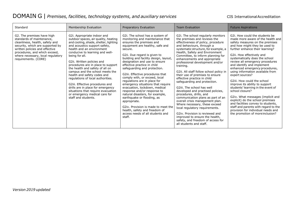| Standard                                                                                                                                                                                                                                                       | Membership Evaluation                                                                                                                                                                                                                                                                                                                                                                                                                                                                                                                                                                                               | Preparatory Evaluation                                                                                                                                                                                                                                                                                                                                                                                                                                                                                                                                                                                                                                                                                                                 | <b>Team Evaluation</b>                                                                                                                                                                                                                                                                                                                                                                                                                                                                                                                                                                                                                                                                                                                                                                                                                                          | <b>Future Aspirations</b>                                                                                                                                                                                                                                                                                                                                                                                                                                                                                                                                                                                                                                                                                                                                      |
|----------------------------------------------------------------------------------------------------------------------------------------------------------------------------------------------------------------------------------------------------------------|---------------------------------------------------------------------------------------------------------------------------------------------------------------------------------------------------------------------------------------------------------------------------------------------------------------------------------------------------------------------------------------------------------------------------------------------------------------------------------------------------------------------------------------------------------------------------------------------------------------------|----------------------------------------------------------------------------------------------------------------------------------------------------------------------------------------------------------------------------------------------------------------------------------------------------------------------------------------------------------------------------------------------------------------------------------------------------------------------------------------------------------------------------------------------------------------------------------------------------------------------------------------------------------------------------------------------------------------------------------------|-----------------------------------------------------------------------------------------------------------------------------------------------------------------------------------------------------------------------------------------------------------------------------------------------------------------------------------------------------------------------------------------------------------------------------------------------------------------------------------------------------------------------------------------------------------------------------------------------------------------------------------------------------------------------------------------------------------------------------------------------------------------------------------------------------------------------------------------------------------------|----------------------------------------------------------------------------------------------------------------------------------------------------------------------------------------------------------------------------------------------------------------------------------------------------------------------------------------------------------------------------------------------------------------------------------------------------------------------------------------------------------------------------------------------------------------------------------------------------------------------------------------------------------------------------------------------------------------------------------------------------------------|
| G2. The premises have high<br>standards of maintenance,<br>cleanliness, health, safety and<br>security, which are supported by<br>written policies and effective<br>procedures, and which exceed,<br>where necessary, local regulatory<br>requirements. (CORE) | G2i. Appropriate indoor and<br>outdoor spaces, air quality, heating<br>and cooling, shade, shelter, lighting<br>and acoustics support safety,<br>health and an environment<br>conducive to learning and well-<br>being for all.<br>G2ii. Written policies and<br>procedures are in place to support<br>the health and safety of all on<br>campus and the school meets the<br>health and safety codes and<br>regulations of local authorities.<br>G2iii. Effective procedures and<br>drills are in place for emergency<br>situations that require evacuation<br>or emergency medical care for<br>staff and students. | G2i. The school has a system of<br>monitoring and maintenance that<br>ensures the premises and<br>equipment are healthy, safe and<br>secure.<br>G2ii. Due regard is given to<br>building and facility design, layout,<br>designation and use to ensure<br>effective practice in child<br>safeguarding and protection.<br>G2iii. Effective procedures that<br>comply with, or exceed, local<br>regulations are in place for<br>emergency situations that require<br>evacuation, lockdown, medical<br>response and/or response to<br>natural disasters, for example,<br>earthquake or flooding, as<br>appropriate.<br>G2iv. Provision is made to meet the<br>health, safety and freedom of<br>access needs of all students and<br>staff. | G2i. The school regularly monitors<br>the premises and reviews the<br>effectiveness of policy, procedure<br>and behaviours, through a<br>systematic structure, for example, a<br>Health, Safety and Environment<br>Committee, to inform planning for<br>enhancements and appropriate<br>professional development and/or<br>training.<br>G2ii. All staff follow school policy in<br>their use of premises to ensure<br>effective practice in child<br>safeguarding and protection.<br>G2iii. The school has well<br>developed and practised policies,<br>procedures, drills, and<br>communication plans as part of an<br>overall crisis management plan.<br>Where necessary, these exceed<br>local regulatory requirements.<br>G2iv. Provision is reviewed and<br>improved to ensure the health,<br>safety, and freedom of access for<br>all students and staff. | G2i. How could the students be<br>made more aware of the health and<br>safety measures on the premises<br>and how might they be used to<br>further enhance their learning?<br>G2ii. How effectively and<br>systematically does the school<br>review all emergency procedures<br>and identify and implement<br>enhanced emergency procedures,<br>using information available from<br>expert sources?<br>G2iii. How could the school<br>improve its ability to support<br>students' learning in the event of<br>school closure?<br>G2iv. What messages (implicit and<br>explicit) do the school premises<br>and facilities convey to students,<br>staff and parents with regard to the<br>provision for individual needs and<br>the promotion of more inclusion? |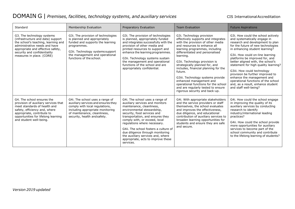| Standard                                                                                                                                                                                                                                  | Membership Evaluation                                                                                                                                                                                                   | Preparatory Evaluation                                                                                                                                                                                                                                                                                                                                                                                                                 | <b>Team Evaluation</b>                                                                                                                                                                                                                                                                                                                                                                                                                                                                                                        | <b>Future Aspirations</b>                                                                                                                                                                                                                                                                                                                                                                                                                                                                                                               |
|-------------------------------------------------------------------------------------------------------------------------------------------------------------------------------------------------------------------------------------------|-------------------------------------------------------------------------------------------------------------------------------------------------------------------------------------------------------------------------|----------------------------------------------------------------------------------------------------------------------------------------------------------------------------------------------------------------------------------------------------------------------------------------------------------------------------------------------------------------------------------------------------------------------------------------|-------------------------------------------------------------------------------------------------------------------------------------------------------------------------------------------------------------------------------------------------------------------------------------------------------------------------------------------------------------------------------------------------------------------------------------------------------------------------------------------------------------------------------|-----------------------------------------------------------------------------------------------------------------------------------------------------------------------------------------------------------------------------------------------------------------------------------------------------------------------------------------------------------------------------------------------------------------------------------------------------------------------------------------------------------------------------------------|
| G3. The technology systems<br>(infrastructure and data) support<br>the school's teaching, learning and<br>administrative needs and have<br>appropriate and effective safety,<br>security and confidentiality<br>measures in place. (CORE) | G3i. The provision of technologies<br>is planned and appropriately<br>funded and supports the learning<br>programmes.<br>G3ii. Technology systems support<br>the management and operational<br>functions of the school. | G3i. The provision of technologies<br>is planned, appropriately funded<br>and integrates successfully with the<br>provision of other media and<br>printed resources to support and<br>enhance the learning programmes.<br>G3ii. Technology systems sustain<br>the management and operational<br>functions of the school and are<br>appropriately confidential.                                                                         | G3i. Technology provision<br>effectively supports and integrates<br>with the provision of other media<br>and resources to enhance all<br>learning programmes, including<br>differentiated and personalised<br>learning.<br>G3ii. Technology provision is<br>strategically planned for, and<br>includes, financial planning for the<br>future.<br>G3iii. Technology systems provide<br>enhanced management and<br>operational functions for the school<br>and are regularly tested to ensure<br>rigorous security and back-up. | G3i. How could the school actively<br>and systematically engage in<br>research and development to plan<br>for the future of new technologies<br>in enhancing student learning?<br>G3ii. How could on-line learning<br>platforms be improved for, and<br>better aligned with, the school's<br>statement for high quality learning?<br>G3iii. How could technology<br>provision be further improved to<br>enhance the management and<br>operational functions of the school<br>and, as a result, enhance student<br>and staff well-being? |
| G4. The school ensures the<br>provision of auxiliary services that<br>meet standards of health and<br>safety, efficiency and, where<br>appropriate, contribute to<br>opportunities for lifelong learning<br>and student well-being.       | G4i. The school uses a range of<br>auxiliary services and ensures they<br>comply with local regulations,<br>including appropriate monitoring<br>of maintenance, cleanliness,<br>security, health and safety.            | G4i. The school uses a range of<br>auxiliary services and monitors<br>maintenance, cleanliness,<br>environmental stewardship,<br>security, food services and<br>transportation, and ensures they<br>comply with, or exceed, local<br>regulations where necessary.<br>G4ii. The school fosters a culture of<br>due diligence through monitoring<br>the auxiliary services and, where<br>appropriate, acts to improve these<br>services. | G4i. With appropriate stakeholders<br>and the service providers or staff<br>themselves, the school evaluates<br>and improves the effectiveness,<br>due diligence, and educational<br>contribution of auxiliary services to<br>broaden learning opportunities for<br>students and ensure they are safe<br>and secure.                                                                                                                                                                                                          | G4i. How could the school engage<br>in improving the quality of its<br>auxiliary services by conducting<br>research to identify<br>industry/international leading<br>practices?<br>G4ii. How could the school provide<br>more opportunities for auxiliary<br>services to become part of the<br>school community and contribute<br>to the lifelong learning of students?                                                                                                                                                                 |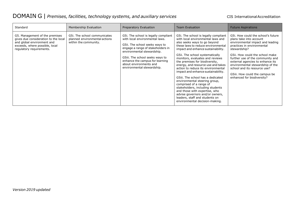| Standard                                                                                                                                                           | Membership Evaluation                                                                  | Preparatory Evaluation                                                                                                                                                                                                                                                                                    | <b>Team Evaluation</b>                                                                                                                                                                                                                                                                                                                                                                                                                                                                                                                                                                                                                                                                       | <b>Future Aspirations</b>                                                                                                                                                                                                                                                                                                                                                                      |
|--------------------------------------------------------------------------------------------------------------------------------------------------------------------|----------------------------------------------------------------------------------------|-----------------------------------------------------------------------------------------------------------------------------------------------------------------------------------------------------------------------------------------------------------------------------------------------------------|----------------------------------------------------------------------------------------------------------------------------------------------------------------------------------------------------------------------------------------------------------------------------------------------------------------------------------------------------------------------------------------------------------------------------------------------------------------------------------------------------------------------------------------------------------------------------------------------------------------------------------------------------------------------------------------------|------------------------------------------------------------------------------------------------------------------------------------------------------------------------------------------------------------------------------------------------------------------------------------------------------------------------------------------------------------------------------------------------|
| G5. Management of the premises<br>gives due consideration to the local<br>and global environment and<br>exceeds, where possible, local<br>regulatory requirements. | G5i. The school communicates<br>planned environmental actions<br>within the community. | G5i. The school is legally compliant<br>with local environmental laws.<br>G5ii. The school seeks ways to<br>engage a range of stakeholders in<br>environmental stewardship.<br>G5iii. The school seeks ways to<br>enhance the campus for learning<br>about environments and<br>environmental stewardship. | G5i. The school is legally compliant<br>with local environmental laws and<br>also seeks ways to go beyond<br>these laws to reduce environmental<br>impact and enhance sustainability.<br>G5ii. The school systematically<br>monitors, evaluates and reviews<br>the premises for biodiversity,<br>energy, and resource use and takes<br>action to reduce its environmental<br>impact and enhance sustainability.<br>G5iii. The school has a dedicated<br>environmental steering group,<br>comprised of a range of<br>stakeholders, including students<br>and those with expertise, who<br>advise governors and/or owners,<br>leaders, staff and students on<br>environmental decision-making. | G5i. How could the school's future<br>plans take into account<br>environmental impact and leading<br>practices in environmental<br>stewardship?<br>G5ii. How could the school make<br>further use of the community and<br>external agencies to enhance its<br>environmental stewardship of the<br>school and its resource use?<br>G5iii. How could the campus be<br>enhanced for biodiversity? |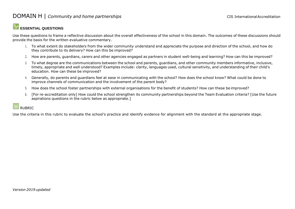#### DOMAIN H | *Community* and *home partnerships* CIS International Accreditation

#### **ESSENTIAL QUESTIONS**

Use these questions to frame a reflective discussion about the overall effectiveness of the school in this domain. The outcomes of these discussions should provide the basis for the written evaluative commentary.

- 1. To what extent do stakeholders from the wider community understand and appreciate the purpose and direction of the school, and how do they contribute to its delivery? How can this be improved?
- 2. How are parents, guardians, carers and other agencies engaged as partners in student well-being and learning? How can this be improved?
- 3. To what degree are the communications between the school and parents, guardians, and other community members informative, inclusive, timely, appropriate and well understood? Examples include: clarity, languages used, cultural sensitivity, and understanding of their child's education. How can these be improved?
- 4. Generally, do parents and guardians feel at ease in communicating with the school? How does the school know? What could be done to improve channels of communication and the involvement of the parent body?
- 5. How does the school foster partnerships with external organisations for the benefit of students? How can these be improved?
- 6. [For re-accreditation only] How could the school strengthen its community partnerships beyond the Team Evaluation criteria? [Use the future aspirations questions in the rubric below as appropriate.]

#### |用 RUBRIC

Use the criteria in this rubric to evaluate the school's practice and identify evidence for alignment with the standard at the appropriate stage.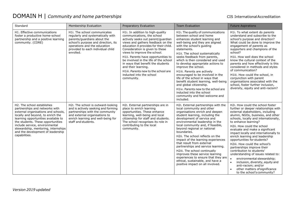## DOMAIN H | *Community and home partnerships* CIS International Accreditation

| Standard                                                                                                                                                                                                                                                                                                                                            | <b>Membership Evaluation</b>                                                                                                                                                                                              | Preparatory Evaluation                                                                                                                                                                                                                                                                                                                                                                                                                                                               | <b>Team Evaluation</b>                                                                                                                                                                                                                                                                                                                                                                                                                                                                                                                                                                                                                       | <b>Future Aspirations</b>                                                                                                                                                                                                                                                                                                                                                                                                                                                                                                                                                                                                                                                                                                       |
|-----------------------------------------------------------------------------------------------------------------------------------------------------------------------------------------------------------------------------------------------------------------------------------------------------------------------------------------------------|---------------------------------------------------------------------------------------------------------------------------------------------------------------------------------------------------------------------------|--------------------------------------------------------------------------------------------------------------------------------------------------------------------------------------------------------------------------------------------------------------------------------------------------------------------------------------------------------------------------------------------------------------------------------------------------------------------------------------|----------------------------------------------------------------------------------------------------------------------------------------------------------------------------------------------------------------------------------------------------------------------------------------------------------------------------------------------------------------------------------------------------------------------------------------------------------------------------------------------------------------------------------------------------------------------------------------------------------------------------------------------|---------------------------------------------------------------------------------------------------------------------------------------------------------------------------------------------------------------------------------------------------------------------------------------------------------------------------------------------------------------------------------------------------------------------------------------------------------------------------------------------------------------------------------------------------------------------------------------------------------------------------------------------------------------------------------------------------------------------------------|
| H1. Effective communications<br>foster a productive home-school<br>partnership and a positive learning<br>community. (CORE)                                                                                                                                                                                                                         | H1i. The school communicates<br>regularly and systematically with<br>parents/quardians about the<br>school's purpose and direction, its<br>operations and the education<br>provided to each individual child<br>enrolled. | H1i. In addition to high-quality<br>communications, the school<br>actively seeks out parent/guardian<br>views and gathers feedback on the<br>education it provides for their child.<br>Consideration is given to these<br>views to improve the school.<br>H1ii. Parents have opportunities to<br>be involved in the life of the school<br>in ways that benefit the students<br>and their learning.<br>H1iii. Parents new to the school are<br>inducted into the school<br>community. | H1i. The quality of communications<br>between school and home<br>enhances student learning and<br>well-being and they are aligned<br>with the school's guiding<br>statements.<br>H1ii. The school systematically<br>seeks feedback from parents,<br>which is then considered and used<br>to develop appropriate actions to<br>improve the school.<br>H1iii. Parents are actively<br>encouraged to be involved in the<br>life of the school in ways that<br>benefit student learning, well-being<br>and global citizenship.<br>H1iv. Parents new to the school are<br>inducted into the school<br>community and feel welcome and<br>included. | H1i. To what extent do parents<br>understand and subscribe to the<br>school's purpose and direction?<br>What could be done to improve the<br>engagement of parents as<br>supporters and champions of the<br>school?<br>H1ii. How well does the school<br>know the cultural context of the<br>parents and how effectively is this<br>considered in methods and styles<br>of communication?<br>H1iii. How could the school, in<br>conjunction with parent<br>organisations associated with the<br>school, foster further inclusion,<br>diversity, equity and anti-racism?                                                                                                                                                         |
| H2. The school establishes<br>partnerships and networks with<br>external organisations and schools,<br>locally and beyond, to enrich the<br>learning opportunities available to<br>the students. These opportunities<br>include service, environmental<br>stewardship, mentoring, internships<br>and the development of leadership<br>capabilities. | H2i. The school is outward-looking<br>and is actively seeking and forming<br>partnerships with the community<br>and external organisations to<br>enrich learning and well-being for<br>staff and students.                | H2i. External partnerships are in<br>place to enrich learning<br>opportunities. These enhance<br>learning, well-being and local<br>citizenship for staff and students.<br>The school recognises its role in<br>contributing to the local<br>community.                                                                                                                                                                                                                               | H2i. External partnerships with the<br>local community and other<br>organisations enrich and deepen<br>student learning, including the<br>development of service and<br>environmental leadership in the<br>local community and, if feasible,<br>beyond regional or national<br>boundaries.<br>H2ii. The school reflects on the<br>impact of the learning experiences<br>that result from external<br>partnerships and service learning.<br>H2iii. The school continually<br>improves these service learning<br>experiences to ensure that they are<br>ethical, sustainable, and have a<br>positive impact on all involved.                   | H2i. How could the school foster<br>further or deeper relationships with<br>external stakeholders, including<br>alumni, NGOs, business, and other<br>schools, locally and internationally,<br>to enhance learning?<br>H2ii. How could the school<br>evaluate and make a significant<br>impact locally and internationally to<br>enrich learning and leadership<br>opportunities for students?<br>H2iii. How could the school's<br>partnerships improve their<br>contribution to students'<br>understanding of issues related to:<br>environmental stewardship;<br>$\bullet$<br>inclusion, diversity, equity and<br>$\bullet$<br>anti-racism; and/or<br>other matters of significance<br>$\bullet$<br>to the school's community? |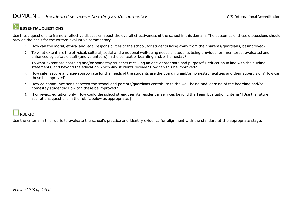#### **ESSENTIAL QUESTIONS**

Use these questions to frame a reflective discussion about the overall effectiveness of the school in this domain. The outcomes of these discussions should provide the basis for the written evaluative commentary.

- 1. How can the moral, ethical and legal responsibilities of the school, for students living away from their parents/guardians, beimproved?
- 2. To what extent are the physical, cultural, social and emotional well-being needs of students being provided for, monitored, evaluated and enhanced by suitable staff (and volunteers) in the context of boarding and/or homestay?
- 3. To what extent are boarding and/or homestay students receiving an age-appropriate and purposeful education in line with the guiding statements, and beyond the education which day students receive? How can this be improved?
- 4. How safe, secure and age-appropriate for the needs of the students are the boarding and/or homestay facilities and their supervision? How can these be improved?
- 5. How do communications between the school and parents/guardians contribute to the well-being and learning of the boarding and/or homestay students? How can these be improved?
- 6. [For re-accreditation only] How could the school strengthen its residential services beyond the Team Evaluation criteria? [Use the future aspirations questions in the rubric below as appropriate.]

## RUBRIC

Use the criteria in this rubric to evaluate the school's practice and identify evidence for alignment with the standard at the appropriate stage.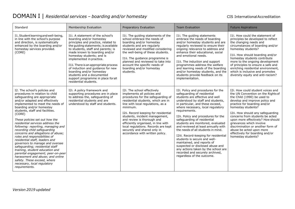| Standard                                                                                                                                                                                                                                                                                                                                                                                                                                                                                                                                                                                                                                                                                                                                                              | Membership Evaluation                                                                                                                                                                                                                                                                                                                                                                                                                                                             | Preparatory Evaluation                                                                                                                                                                                                                                                                                                                                                                                                                          | <b>Team Evaluation</b>                                                                                                                                                                                                                                                                                                                                                                                                                                                                                                                                                                                                                                                         | <b>Future Aspirations</b>                                                                                                                                                                                                                                                                                                                                                                                                                                         |
|-----------------------------------------------------------------------------------------------------------------------------------------------------------------------------------------------------------------------------------------------------------------------------------------------------------------------------------------------------------------------------------------------------------------------------------------------------------------------------------------------------------------------------------------------------------------------------------------------------------------------------------------------------------------------------------------------------------------------------------------------------------------------|-----------------------------------------------------------------------------------------------------------------------------------------------------------------------------------------------------------------------------------------------------------------------------------------------------------------------------------------------------------------------------------------------------------------------------------------------------------------------------------|-------------------------------------------------------------------------------------------------------------------------------------------------------------------------------------------------------------------------------------------------------------------------------------------------------------------------------------------------------------------------------------------------------------------------------------------------|--------------------------------------------------------------------------------------------------------------------------------------------------------------------------------------------------------------------------------------------------------------------------------------------------------------------------------------------------------------------------------------------------------------------------------------------------------------------------------------------------------------------------------------------------------------------------------------------------------------------------------------------------------------------------------|-------------------------------------------------------------------------------------------------------------------------------------------------------------------------------------------------------------------------------------------------------------------------------------------------------------------------------------------------------------------------------------------------------------------------------------------------------------------|
| I1. Student learning and well-being,<br>in line with the school's purpose<br>and direction, is systematically<br>enhanced by the boarding and/or<br>homestay services provided.<br>(CORE)                                                                                                                                                                                                                                                                                                                                                                                                                                                                                                                                                                             | I1i. A statement of the school's<br>boarding and/or homestay<br>principles and practice, related to<br>the quiding statements; is available<br>to students, staff and parents; is<br>made known to boarding and/or<br>homestay students; and is<br>implemented in practice.<br>I1ii. There is an appropriate process<br>of induction and guidance for new<br>boarding and/or homestay<br>students and a documented<br>support programme in place for all<br>residential students. | I1i. The quiding statements of the<br>school embrace the needs of<br>boarding and/or homestay<br>students and are regularly<br>reviewed and modified considering<br>the well-being of these students.<br>I1ii. The guidance programme is<br>planned and reviewed to take into<br>account the specific needs of<br>boarding and/or homestay<br>students.                                                                                         | I1i. The quiding statements<br>embrace the needs of boarding<br>and/or homestay students and are<br>regularly reviewed to ensure their<br>ongoing relevance to address and<br>enhance their educational, social<br>and emotional needs.<br>I1ii. The induction and support<br>programmes address the welfare<br>and learning needs of the boarding<br>and/or homestay students, and the<br>students provide feedback on its<br>implementation.                                                                                                                                                                                                                                 | I1. How could the statement of<br>principles be developed to reflect<br>the changing needs and<br>circumstances of boarding and/or<br>homestay students?<br>I1ii. How should boarding and/or<br>homestay students contribute<br>more to the ongoing development<br>of principles to ensure a safe and<br>enriching residential environment,<br>which is inclusive and promotes<br>diversity equity and anti-racism?                                               |
| I2. The school's policies and<br>procedures in relation to child<br>safeguarding are appropriate<br>and/or adapted and effectively<br>implemented to meet the needs of<br>boarding and/or homestay<br>students, staff and facilities.<br>(CORE)<br>These policies set out how the<br>residential services address the<br>following: reporting, managing and<br>recording child safeguarding<br>concerns and allegations of abuse;<br>roles and responsibilities of<br>residential staff, leaders and<br>governors to manage and oversee<br>safequarding; residential staff<br>training, student education and<br>parental engagement; peer-on-peer<br>harassment and abuse; and online<br>safety. These exceed, where<br>necessary, local regulatory<br>requirements. | I2i. A policy framework and<br>supporting procedures are in place<br>to address the, safeguarding of<br>residential students and are<br>understood by staff and students.                                                                                                                                                                                                                                                                                                         | I2i. The school effectively<br>implements all policies and<br>procedures for the safeguarding of<br>residential students, which are in<br>line with local regulations, as a<br>minimum.<br>I2ii. Record keeping for residential<br>students, incident management,<br>and review is thorough and<br>efficiently organised, in line with<br>local regulations. Records are kept<br>securely and shared only in<br>accordance with written policy. | I2i. Policy and procedures for the<br>safeguarding of residential<br>students are effective and well<br>understood by staff and students,<br>in particular, and these exceed,<br>where necessary, local regulatory<br>requirements.<br>I2ii. Policy and procedures for the<br>safeguarding of residential<br>students are monitored, evaluated<br>and reviewed at least annually with<br>the needs of all students in mind.<br>I2iii. Record-keeping for residential<br>students is secure and well-<br>maintained, and reports of<br>suspected or disclosed abuse and<br>any actions taken by the school are<br>recorded and securely archived,<br>regardless of the outcome. | I2i. How could student voices and<br>the UN Convention on the Rights of<br>the Child (1990) be used to<br>develop and improve policy and<br>practice for boarding and/or<br>homestay students?<br>I2ii. How should any safeguarding<br>concerns from students be acted<br>upon more effectively? How should<br>grievances which involve<br>discrimination or another form of<br>abuse be acted upon more<br>effectively for boarding and/or<br>homestay students? |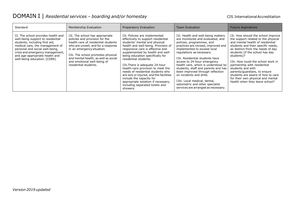| Standard                                                                                                                                                                                                                                                                              | Membership Evaluation                                                                                                                                                                                                                                                                                              | Preparatory Evaluation                                                                                                                                                                                                                                                                                                                                                                                                                                                                                                                                     | <b>Team Evaluation</b>                                                                                                                                                                                                                                                                                                                                                                                                                                                                                                            | <b>Future Aspirations</b>                                                                                                                                                                                                                                                                                                                                                                                                                                                        |
|---------------------------------------------------------------------------------------------------------------------------------------------------------------------------------------------------------------------------------------------------------------------------------------|--------------------------------------------------------------------------------------------------------------------------------------------------------------------------------------------------------------------------------------------------------------------------------------------------------------------|------------------------------------------------------------------------------------------------------------------------------------------------------------------------------------------------------------------------------------------------------------------------------------------------------------------------------------------------------------------------------------------------------------------------------------------------------------------------------------------------------------------------------------------------------------|-----------------------------------------------------------------------------------------------------------------------------------------------------------------------------------------------------------------------------------------------------------------------------------------------------------------------------------------------------------------------------------------------------------------------------------------------------------------------------------------------------------------------------------|----------------------------------------------------------------------------------------------------------------------------------------------------------------------------------------------------------------------------------------------------------------------------------------------------------------------------------------------------------------------------------------------------------------------------------------------------------------------------------|
| I3. The school provides health and<br>well-being support to residential<br>students, including first aid,<br>medical care, the management of<br>personal and social well-being,<br>crisis and emergency management,<br>and age-appropriate health and<br>well-being education. (CORE) | I3i. The school has appropriate<br>policies and provision for the<br>health care of residential students<br>who are unwell, and for a response<br>in an emergency situation.<br>I3ii. The school promotes physical<br>and mental health, as well as social<br>and emotional well-being of<br>residential students. | I3i. Policies are implemented<br>effectively to support residential<br>students' mental and physical<br>health and well-being. Provision of<br>responsive care is effective and<br>supplemented by health and well-<br>being education specifically for<br>residential students.<br>I3ii. There is adequate 24-hour<br>health-care provision to meet the<br>needs of residential students who<br>are sick or injured, and the facilities<br>include the capacity for<br>appropriate isolation if necessary,<br>including separated toilets and<br>showers. | I3i. Health and well-being matters<br>are monitored and evaluated, and<br>policies, programmes, and<br>practices are revised, improved and<br>implemented to exceed local<br>regulations as necessary.<br>I3ii. Residential students have<br>access to 24-hour emergency<br>health care, which is understood by<br>students, staff and parents and has<br>been improved through reflection<br>on incidents and drills.<br>I3iii. Local medical, dental,<br>optometric and other specialist<br>services are arranged as necessary. | I3i. How should the school improve<br>the support related to the physical<br>and mental health of residential<br>students and their specific needs,<br>as distinct from the needs of day<br>students (if the school has day<br>students)?<br>I3ii. How could the school work in<br>partnership with residential<br>students and with<br>parents/guardians, to ensure<br>students are aware of how to care<br>for their own physical and mental<br>health when they leave school? |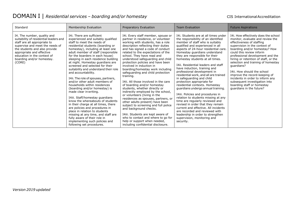| Standard                                                                                                                                                                                                                                                                     | Membership Evaluation                                                                                                                                                                                                                                                                                                                                                                                                                                                                                                                                                                                                                                                                                                                                                                                                                                                                                                    | Preparatory Evaluation                                                                                                                                                                                                                                                                                                                                                                                                                                                                                                                                                                                                                                                                                                                                                                                                                                                                                                              | <b>Team Evaluation</b>                                                                                                                                                                                                                                                                                                                                                                                                                                                                                                                                                                                                                                                                                                                                                                                                                                                                            | <b>Future Aspirations</b>                                                                                                                                                                                                                                                                                                                                                                                                                                                                                                          |
|------------------------------------------------------------------------------------------------------------------------------------------------------------------------------------------------------------------------------------------------------------------------------|--------------------------------------------------------------------------------------------------------------------------------------------------------------------------------------------------------------------------------------------------------------------------------------------------------------------------------------------------------------------------------------------------------------------------------------------------------------------------------------------------------------------------------------------------------------------------------------------------------------------------------------------------------------------------------------------------------------------------------------------------------------------------------------------------------------------------------------------------------------------------------------------------------------------------|-------------------------------------------------------------------------------------------------------------------------------------------------------------------------------------------------------------------------------------------------------------------------------------------------------------------------------------------------------------------------------------------------------------------------------------------------------------------------------------------------------------------------------------------------------------------------------------------------------------------------------------------------------------------------------------------------------------------------------------------------------------------------------------------------------------------------------------------------------------------------------------------------------------------------------------|---------------------------------------------------------------------------------------------------------------------------------------------------------------------------------------------------------------------------------------------------------------------------------------------------------------------------------------------------------------------------------------------------------------------------------------------------------------------------------------------------------------------------------------------------------------------------------------------------------------------------------------------------------------------------------------------------------------------------------------------------------------------------------------------------------------------------------------------------------------------------------------------------|------------------------------------------------------------------------------------------------------------------------------------------------------------------------------------------------------------------------------------------------------------------------------------------------------------------------------------------------------------------------------------------------------------------------------------------------------------------------------------------------------------------------------------|
| I4. The number, quality and<br>suitability of residential leaders and<br>staff are all appropriate to<br>supervise and meet the needs of<br>the students and also provide<br>appropriate and effective<br>education in the context of<br>boarding and/or homestay.<br>(CORE) | 14i. There are sufficient<br>experienced and suitably qualified<br>staff to meet the needs of<br>residential students (boarding or<br>homestay), including at least one<br>adult member of staff (responsible<br>for the boarders in each house)<br>sleeping in each residence building<br>at night. Homestay guardians are<br>screened and selected for their<br>suitability and understand their role<br>and accountability.<br>I4ii. The role of spouses, partners,<br>and/or other adult members of<br>households within residences<br>(boarding and/or homestay) is<br>made clear in writing.<br>I4iii. Staff/homestay guardians<br>know the whereabouts of students<br>in their charge at all times, there<br>are policies and procedures in<br>place in relation to students<br>missing at any time, and staff are<br>fully aware of their role in<br>implementing such policies and<br>following set procedures. | I4i. Every staff member, spouse or<br>partner in residence, or volunteer<br>working with students, has a role<br>description reflecting their duties<br>and has signed a code of conduct<br>related to the expectations of the<br>school. They have read and<br>understood safeguarding and child<br>protection policies and have been<br>involved in induction in<br>boarding/homestay work including<br>safeguarding and child protection<br>training.<br>I4ii. All those involved in the care<br>of boarding and/or homestay<br>students, whether directly or<br>indirectly employed by the school,<br>or volunteers (living in the<br>residences as spouses, partners, or<br>other adults present) have been<br>subject to screening and full police<br>and background checks.<br>I4iii. Students are kept aware of<br>who to contact and where to go for<br>help or support when needed,<br>including confidential disclosure. | I4i. Students are at all times under<br>the responsibility of an identified<br>member of staff who is suitably<br>qualified and experienced in all<br>aspects of 24-hour residential care.<br>Homestay guardians understand<br>they are responsible for their<br>homestay students at all times.<br>I4ii. Residential leaders and staff<br>have induction, training and<br>professional development in<br>residential work, and all are trained<br>in safeguarding and child<br>protection appropriate for<br>residential contexts. Homestay<br>guardians undergo annual training.<br>I4iii. Policies and procedures in<br>relation to students missing at any<br>time are regularly reviewed and<br>revised in order that they remain<br>current and effective. All incidents<br>are recorded and reviewed with<br>leadership in order to strengthen<br>supervision, monitoring and<br>security. | I4i. How effectively does the school<br>monitor, evaluate and review the<br>effectiveness of staffing<br>supervision in the context of<br>boarding and/or homestay? How<br>could this review inform<br>professional development and the<br>hiring or retention of staff, or the<br>selection and training of homestay<br>quardians?<br>I4ii. How should the school<br>improve the record-keeping of<br>incidents in order to inform any<br>subsequent investigation into<br>boarding staff or homestay<br>guardians in the future? |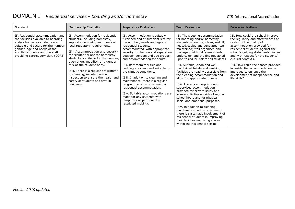| Standard                                                                                                                                                                                                                                                  | Membership Evaluation                                                                                                                                                                                                                                                                                                                                                                                                                                                                   | Preparatory Evaluation                                                                                                                                                                                                                                                                                                                                                                                                                                                                                                                                                                                                                         | <b>Team Evaluation</b>                                                                                                                                                                                                                                                                                                                                                                                                                                                                                                                                                                                                                                                                                                                                                                                                                                                                                                    | <b>Future Aspirations</b>                                                                                                                                                                                                                                                                                                                                                                                                           |
|-----------------------------------------------------------------------------------------------------------------------------------------------------------------------------------------------------------------------------------------------------------|-----------------------------------------------------------------------------------------------------------------------------------------------------------------------------------------------------------------------------------------------------------------------------------------------------------------------------------------------------------------------------------------------------------------------------------------------------------------------------------------|------------------------------------------------------------------------------------------------------------------------------------------------------------------------------------------------------------------------------------------------------------------------------------------------------------------------------------------------------------------------------------------------------------------------------------------------------------------------------------------------------------------------------------------------------------------------------------------------------------------------------------------------|---------------------------------------------------------------------------------------------------------------------------------------------------------------------------------------------------------------------------------------------------------------------------------------------------------------------------------------------------------------------------------------------------------------------------------------------------------------------------------------------------------------------------------------------------------------------------------------------------------------------------------------------------------------------------------------------------------------------------------------------------------------------------------------------------------------------------------------------------------------------------------------------------------------------------|-------------------------------------------------------------------------------------------------------------------------------------------------------------------------------------------------------------------------------------------------------------------------------------------------------------------------------------------------------------------------------------------------------------------------------------|
| I5. Residential accommodation and<br>the facilities available to boarding<br>and/or homestay students are<br>suitable and secure for the number.<br>gender, age and needs of the<br>enrolled students and the staff<br>providing care/supervision. (CORE) | I5i. Accommodation for residential<br>students, including homestay,<br>supports well-being and meets all<br>local regulatory reguirements.<br>I5ii. Accommodation and security<br>for residential and/or homestay<br>students is suitable for the number,<br>age-range, mobility, and gender<br>mix of the student body.<br>I5iii. There is a regular programme<br>of cleaning, maintenance and<br>inspection to ensure the health and<br>safety of students and staff in<br>residence. | I5i. Accommodation is suitably<br>furnished and of sufficient size for<br>the number, needs and ages of<br>residential students<br>accommodated, with appropriate<br>security, protection and separation<br>between genders and age groups,<br>and accommodation for adults.<br>I5ii. Bathroom facilities and<br>bedding are clean and suitable for<br>the climatic conditions.<br>I5iii. In addition to cleaning and<br>maintenance, there is a regular<br>programme of refurbishment of<br>residential accommodation.<br>I5iv. Suitable accommodations are<br>made for any students with<br>temporary or permanently<br>restricted mobility. | I5i. The sleeping accommodation<br>for boarding and/or homestay<br>students is: secure; clean; well lit;<br>heated/cooled and ventilated; well<br>maintained; well organised and<br>managed; with risk assessments<br>undertaken and the findings acted<br>upon to reduce risk for all students.<br>I5ii. Suitable, clean and well-<br>maintained toilets and washing<br>facilities are readily accessible from<br>the sleeping accommodation and<br>allow for appropriate privacy.<br>I5iii. There is appropriate and<br>supervised accommodation<br>provided for private study and<br>leisure activities outside of regular<br>school hours and for physical,<br>social and emotional purposes.<br>I5iv. In addition to cleaning,<br>maintenance and refurbishment,<br>there is systematic involvement of<br>residential students in improving<br>their facilities and living spaces<br>within the residential setting. | I5i. How could the school improve<br>the regularity and effectiveness of<br>review of the quality of<br>accommodation provided for<br>residential students, against the<br>school's guiding statements, values,<br>and with respect for the students'<br>cultural contexts?<br>I5ii. How could the spaces provided<br>in residential accommodation be<br>improved to enhance the<br>development of independence and<br>life skills? |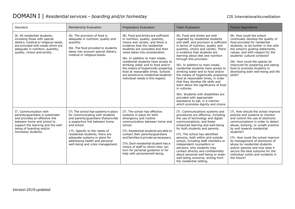| Standard                                                                                                                                                                                                          | Membership Evaluation                                                                                                                                                                                                                                                                                                                       | Preparatory Evaluation                                                                                                                                                                                                                                                                                                                                                                                                                                                                         | <b>Team Evaluation</b>                                                                                                                                                                                                                                                                                                                                                                                                                                                                                                                                                                                                                                                                                                            | <b>Future Aspirations</b>                                                                                                                                                                                                                                                                                                                                                                                                                                             |
|-------------------------------------------------------------------------------------------------------------------------------------------------------------------------------------------------------------------|---------------------------------------------------------------------------------------------------------------------------------------------------------------------------------------------------------------------------------------------------------------------------------------------------------------------------------------------|------------------------------------------------------------------------------------------------------------------------------------------------------------------------------------------------------------------------------------------------------------------------------------------------------------------------------------------------------------------------------------------------------------------------------------------------------------------------------------------------|-----------------------------------------------------------------------------------------------------------------------------------------------------------------------------------------------------------------------------------------------------------------------------------------------------------------------------------------------------------------------------------------------------------------------------------------------------------------------------------------------------------------------------------------------------------------------------------------------------------------------------------------------------------------------------------------------------------------------------------|-----------------------------------------------------------------------------------------------------------------------------------------------------------------------------------------------------------------------------------------------------------------------------------------------------------------------------------------------------------------------------------------------------------------------------------------------------------------------|
| I6. All residential students,<br>including those with special<br>dietary, medical or religious needs,<br>are provided with meals which are<br>adequate in nutrition, quantity,<br>quality, choice and variety.    | I6i. The provision of food is<br>adequate in nutrition, quality and<br>quantity.<br>I6ii. The food provided to students<br>takes into account special dietary,<br>medical or religious needs.                                                                                                                                               | I6i. Food and drinks are sufficient<br>in nutrition, quality, quantity,<br>choice and variety, and there is<br>evidence that the residential<br>students are consulted and their<br>views taken into consideration.<br>I6ii. In addition to main meals,<br>residential students have access to<br>drinking water and to food and/or<br>the means of hygienically preparing<br>food at reasonable times. Schools<br>are sensitive to residential students'<br>individual needs in this respect. | 16i. Food and drinks are well<br>regarded by residential students<br>and staff, and provision is sufficient<br>in terms of nutrition, quality and<br>quantity, choice and variety. There<br>is evidence that students are<br>learning about diet and nutrition<br>through this provision.<br>I6ii. In addition to main meals,<br>residential students have access to<br>drinking water and to food and/or<br>the means of hygienically preparing<br>food at reasonable times, in order<br>that they develop life skills and<br>learn about the significance of food<br>in cultures.<br>I6iii. Students with disabilities are<br>provided with appropriate<br>assistance to eat, in a manner<br>which promotes dignity and choice. | I6i. How could the school<br>continually develop the quality of<br>food provided for residential<br>students, to be further in line with<br>the school's guiding statements,<br>values, and with respect for the<br>students' cultural contexts?<br>I6ii. How could the spaces be<br>improved for preparing and eating<br>food to promote students in<br>developing both well-being and life<br>skills?                                                               |
| I7. Communication with<br>parents/guardians is systematic<br>and provides an effective link<br>between home and school to<br>support the learning and the well-<br>being of boarding and/or<br>homestay students. | I7i. The school has systems in place<br>for communicating with students<br>and parents/guardians that provide<br>a supportive link between home<br>and school.<br>17ii. Specific to the needs of<br>residential students, there are<br>adequate systems in place for<br>addressing health and personal<br>well-being and crisis management. | I7i. The school has effective<br>systems in place for both<br>emergency and routine<br>communication between home and<br>school.<br>I7ii. Residential students are able to<br>contact their parents/guardians<br>and families in private as necessary.<br>I7iii. Each residential student has a<br>choice of staff to whom they can<br>turn for personal guidance or for<br>help with personal well-being.                                                                                     | I7i. Communications systems and<br>procedures are effective, including<br>the use of technology and digital<br>communications, and foster<br>enhanced learning and well-being<br>for both students and parents.<br>I7ii. The school has identified<br>persons, both within and outside<br>school, including staff members or<br>independent counsellors or<br>advisors, who students may<br>contact directly and confidentially<br>about personal well-being or wider<br>well-being concerns, arising from<br>the residential setting.                                                                                                                                                                                            | I7i. How should the school improve<br>policies and systems to monitor<br>and control the use of electronic<br>communications in order to detect<br>abuse, bullying, or unsafe practice<br>by and towards residential<br>students?<br>I7ii. How could the school improve<br>its management of disclosure of<br>abuse by residential students<br>and/or parents and how does it<br>secure the best outcome for the<br>individual victim and incidents in<br>the future? |